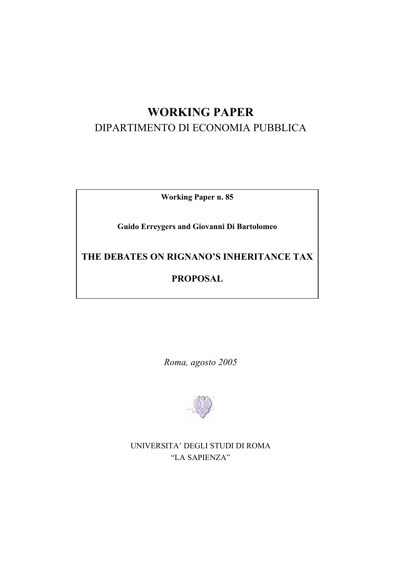# **WORKING PAPER**  DIPARTIMENTO DI ECONOMIA PUBBLICA

**Working Paper n. 85** 

**Guido Erreygers and Giovanni Di Bartolomeo** 

**THE DEBATES ON RIGNANO'S INHERITANCE TAX** 

# **PROPOSAL**

*Roma, agosto 2005* 



UNIVERSITA' DEGLI STUDI DI ROMA "LA SAPIENZA"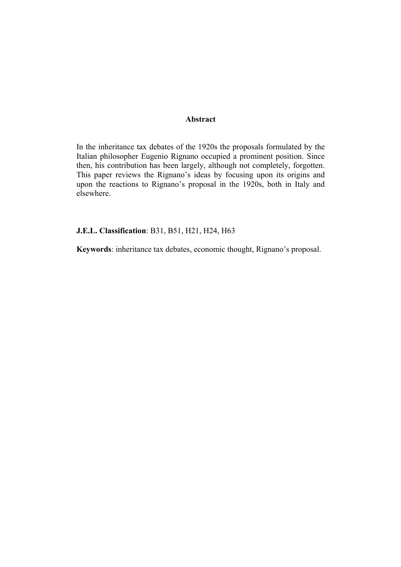#### **Abstract**

In the inheritance tax debates of the 1920s the proposals formulated by the Italian philosopher Eugenio Rignano occupied a prominent position. Since then, his contribution has been largely, although not completely, forgotten. This paper reviews the Rignano's ideas by focusing upon its origins and upon the reactions to Rignano's proposal in the 1920s, both in Italy and elsewhere.

### **J.E.L. Classification**: B31, B51, H21, H24, H63

**Keywords**: inheritance tax debates, economic thought, Rignano's proposal.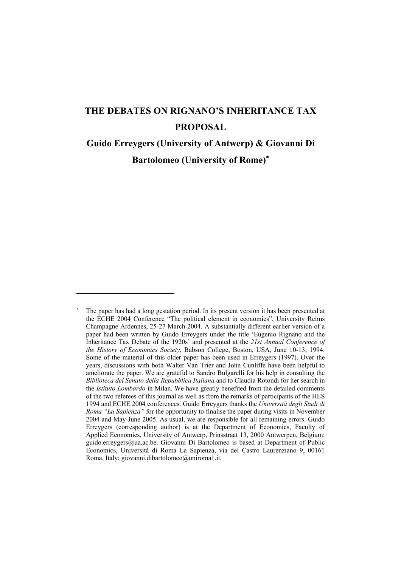# **THE DEBATES ON RIGNANO'S INHERITANCE TAX PROPOSAL**

# **Guido Erreygers (University of Antwerp) & Giovanni Di Bartolomeo (University of Rome)**<sup>∗</sup>

<sup>∗</sup> The paper has had a long gestation period. In its present version it has been presented at the ECHE 2004 Conference "The political element in economics", University Reims Champagne Ardennes, 25-27 March 2004. A substantially different earlier version of a paper had been written by Guido Erreygers under the title 'Eugenio Rignano and the Inheritance Tax Debate of the 1920s' and presented at the *21st Annual Conference of the History of Economics Society*, Babson College, Boston, USA, June 10-13, 1994. Some of the material of this older paper has been used in Erreygers (1997). Over the years, discussions with both Walter Van Trier and John Cunliffe have been helpful to ameliorate the paper. We are grateful to Sandro Bulgarelli for his help in consulting the *Biblioteca del Senato della Repubblica Italiana* and to Claudia Rotondi for her search in the *Istituto Lombardo* in Milan. We have greatly benefited from the detailed comments of the two referees of this journal as well as from the remarks of participants of the HES 1994 and ECHE 2004 conferences. Guido Erreygers thanks the *Università degli Studi di Roma "La Sapienza"* for the opportunity to finalise the paper during visits in November 2004 and May-June 2005. As usual, we are responsible for all remaining errors. Guido Erreygers (corresponding author) is at the Department of Economics, Faculty of Applied Economics, University of Antwerp, Prinsstraat 13, 2000 Antwerpen, Belgium: guido.erreygers@ua.ac.be. Giovanni Di Bartolomeo is based at Department of Public Economics, Università di Roma La Sapienza, via del Castro Laurenziano 9, 00161 Roma, Italy; giovanni.dibartolomeo@uniroma1.it.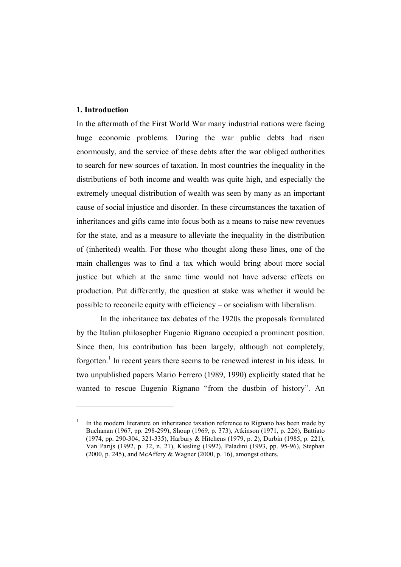### **1. Introduction**

 $\overline{a}$ 

In the aftermath of the First World War many industrial nations were facing huge economic problems. During the war public debts had risen enormously, and the service of these debts after the war obliged authorities to search for new sources of taxation. In most countries the inequality in the distributions of both income and wealth was quite high, and especially the extremely unequal distribution of wealth was seen by many as an important cause of social injustice and disorder. In these circumstances the taxation of inheritances and gifts came into focus both as a means to raise new revenues for the state, and as a measure to alleviate the inequality in the distribution of (inherited) wealth. For those who thought along these lines, one of the main challenges was to find a tax which would bring about more social justice but which at the same time would not have adverse effects on production. Put differently, the question at stake was whether it would be possible to reconcile equity with efficiency – or socialism with liberalism.

 In the inheritance tax debates of the 1920s the proposals formulated by the Italian philosopher Eugenio Rignano occupied a prominent position. Since then, his contribution has been largely, although not completely, forgotten.<sup>1</sup> In recent years there seems to be renewed interest in his ideas. In two unpublished papers Mario Ferrero (1989, 1990) explicitly stated that he wanted to rescue Eugenio Rignano "from the dustbin of history". An

<sup>1</sup> In the modern literature on inheritance taxation reference to Rignano has been made by Buchanan (1967, pp. 298-299), Shoup (1969, p. 373), Atkinson (1971, p. 226), Battiato (1974, pp. 290-304, 321-335), Harbury & Hitchens (1979, p. 2), Durbin (1985, p. 221), Van Parijs (1992, p. 32, n. 21), Kiesling (1992), Paladini (1993, pp. 95-96), Stephan (2000, p. 245), and McAffery & Wagner (2000, p. 16), amongst others.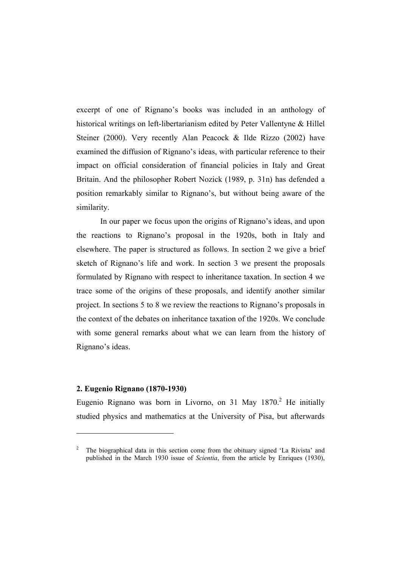excerpt of one of Rignano's books was included in an anthology of historical writings on left-libertarianism edited by Peter Vallentyne & Hillel Steiner (2000). Very recently Alan Peacock & Ilde Rizzo (2002) have examined the diffusion of Rignano's ideas, with particular reference to their impact on official consideration of financial policies in Italy and Great Britain. And the philosopher Robert Nozick (1989, p. 31n) has defended a position remarkably similar to Rignano's, but without being aware of the similarity.

 In our paper we focus upon the origins of Rignano's ideas, and upon the reactions to Rignano's proposal in the 1920s, both in Italy and elsewhere. The paper is structured as follows. In section 2 we give a brief sketch of Rignano's life and work. In section 3 we present the proposals formulated by Rignano with respect to inheritance taxation. In section 4 we trace some of the origins of these proposals, and identify another similar project. In sections 5 to 8 we review the reactions to Rignano's proposals in the context of the debates on inheritance taxation of the 1920s. We conclude with some general remarks about what we can learn from the history of Rignano's ideas.

# **2. Eugenio Rignano (1870-1930)**

 $\overline{a}$ 

Eugenio Rignano was born in Livorno, on 31 May  $1870<sup>2</sup>$  He initially studied physics and mathematics at the University of Pisa, but afterwards

<sup>2</sup> The biographical data in this section come from the obituary signed 'La Rivista' and published in the March 1930 issue of *Scientia*, from the article by Enriques (1930),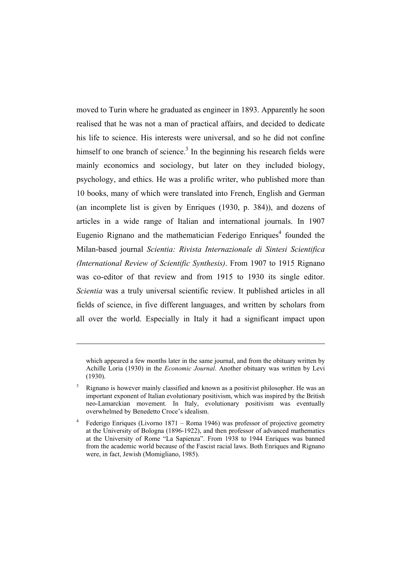moved to Turin where he graduated as engineer in 1893. Apparently he soon realised that he was not a man of practical affairs, and decided to dedicate his life to science. His interests were universal, and so he did not confine himself to one branch of science.<sup>3</sup> In the beginning his research fields were mainly economics and sociology, but later on they included biology, psychology, and ethics. He was a prolific writer, who published more than 10 books, many of which were translated into French, English and German (an incomplete list is given by Enriques (1930, p. 384)), and dozens of articles in a wide range of Italian and international journals. In 1907 Eugenio Rignano and the mathematician Federigo Enriques<sup>4</sup> founded the Milan-based journal *Scientia: Rivista Internazionale di Sintesi Scientifica (International Review of Scientific Synthesis)*. From 1907 to 1915 Rignano was co-editor of that review and from 1915 to 1930 its single editor. *Scientia* was a truly universal scientific review. It published articles in all fields of science, in five different languages, and written by scholars from all over the world. Especially in Italy it had a significant impact upon

which appeared a few months later in the same journal, and from the obituary written by Achille Loria (1930) in the *Economic Journal*. Another obituary was written by Levi (1930).

<sup>3</sup> Rignano is however mainly classified and known as a positivist philosopher. He was an important exponent of Italian evolutionary positivism, which was inspired by the British neo-Lamarckian movement. In Italy, evolutionary positivism was eventually overwhelmed by Benedetto Croce's idealism.

<sup>4</sup> Federigo Enriques (Livorno 1871 – Roma 1946) was professor of projective geometry at the University of Bologna (1896-1922), and then professor of advanced mathematics at the University of Rome "La Sapienza". From 1938 to 1944 Enriques was banned from the academic world because of the Fascist racial laws. Both Enriques and Rignano were, in fact, Jewish (Momigliano, 1985).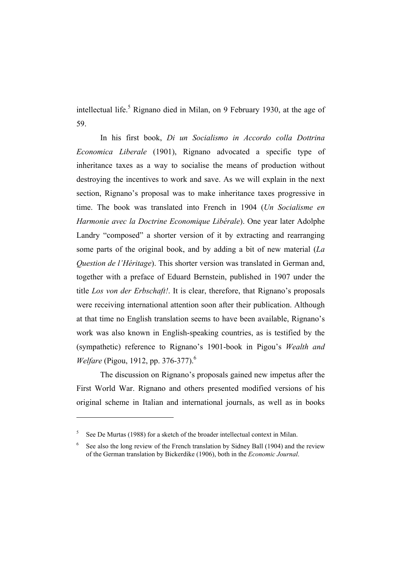intellectual life.<sup>5</sup> Rignano died in Milan, on 9 February 1930, at the age of 59.

 In his first book, *Di un Socialismo in Accordo colla Dottrina Economica Liberale* (1901), Rignano advocated a specific type of inheritance taxes as a way to socialise the means of production without destroying the incentives to work and save. As we will explain in the next section, Rignano's proposal was to make inheritance taxes progressive in time. The book was translated into French in 1904 (*Un Socialisme en Harmonie avec la Doctrine Economique Libérale*). One year later Adolphe Landry "composed" a shorter version of it by extracting and rearranging some parts of the original book, and by adding a bit of new material (*La Question de l'Héritage*). This shorter version was translated in German and, together with a preface of Eduard Bernstein, published in 1907 under the title *Los von der Erbschaft!*. It is clear, therefore, that Rignano's proposals were receiving international attention soon after their publication. Although at that time no English translation seems to have been available, Rignano's work was also known in English-speaking countries, as is testified by the (sympathetic) reference to Rignano's 1901-book in Pigou's *Wealth and Welfare* (Pigou, 1912, pp. 376-377).<sup>6</sup>

 The discussion on Rignano's proposals gained new impetus after the First World War. Rignano and others presented modified versions of his original scheme in Italian and international journals, as well as in books

 $5$  See De Murtas (1988) for a sketch of the broader intellectual context in Milan.

<sup>6</sup> See also the long review of the French translation by Sidney Ball (1904) and the review of the German translation by Bickerdike (1906), both in the *Economic Journal*.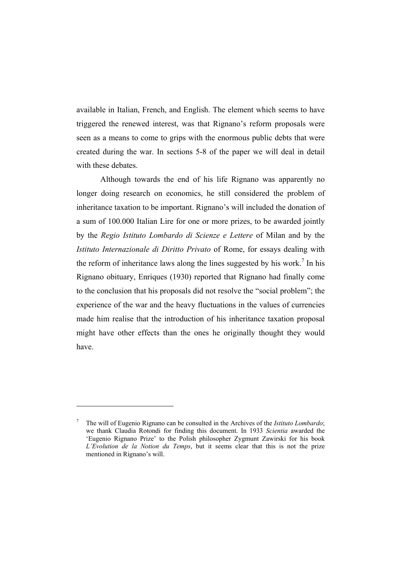available in Italian, French, and English. The element which seems to have triggered the renewed interest, was that Rignano's reform proposals were seen as a means to come to grips with the enormous public debts that were created during the war. In sections 5-8 of the paper we will deal in detail with these debates.

 Although towards the end of his life Rignano was apparently no longer doing research on economics, he still considered the problem of inheritance taxation to be important. Rignano's will included the donation of a sum of 100.000 Italian Lire for one or more prizes, to be awarded jointly by the *Regio Istituto Lombardo di Scienze e Lettere* of Milan and by the *Istituto Internazionale di Diritto Privato* of Rome, for essays dealing with the reform of inheritance laws along the lines suggested by his work.<sup>7</sup> In his Rignano obituary, Enriques (1930) reported that Rignano had finally come to the conclusion that his proposals did not resolve the "social problem"; the experience of the war and the heavy fluctuations in the values of currencies made him realise that the introduction of his inheritance taxation proposal might have other effects than the ones he originally thought they would have.

<sup>7</sup> The will of Eugenio Rignano can be consulted in the Archives of the *Istituto Lombardo*; we thank Claudia Rotondi for finding this document. In 1933 *Scientia* awarded the 'Eugenio Rignano Prize' to the Polish philosopher Zygmunt Zawirski for his book *L'Evolution de la Notion du Temps*, but it seems clear that this is not the prize mentioned in Rignano's will.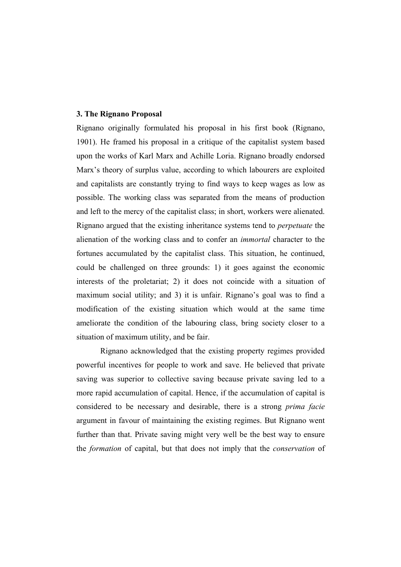#### **3. The Rignano Proposal**

Rignano originally formulated his proposal in his first book (Rignano, 1901). He framed his proposal in a critique of the capitalist system based upon the works of Karl Marx and Achille Loria. Rignano broadly endorsed Marx's theory of surplus value, according to which labourers are exploited and capitalists are constantly trying to find ways to keep wages as low as possible. The working class was separated from the means of production and left to the mercy of the capitalist class; in short, workers were alienated. Rignano argued that the existing inheritance systems tend to *perpetuate* the alienation of the working class and to confer an *immortal* character to the fortunes accumulated by the capitalist class. This situation, he continued, could be challenged on three grounds: 1) it goes against the economic interests of the proletariat; 2) it does not coincide with a situation of maximum social utility; and 3) it is unfair. Rignano's goal was to find a modification of the existing situation which would at the same time ameliorate the condition of the labouring class, bring society closer to a situation of maximum utility, and be fair.

 Rignano acknowledged that the existing property regimes provided powerful incentives for people to work and save. He believed that private saving was superior to collective saving because private saving led to a more rapid accumulation of capital. Hence, if the accumulation of capital is considered to be necessary and desirable, there is a strong *prima facie* argument in favour of maintaining the existing regimes. But Rignano went further than that. Private saving might very well be the best way to ensure the *formation* of capital, but that does not imply that the *conservation* of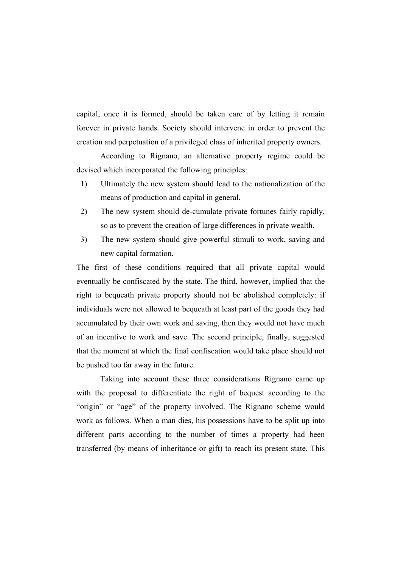capital, once it is formed, should be taken care of by letting it remain forever in private hands. Society should intervene in order to prevent the creation and perpetuation of a privileged class of inherited property owners.

 According to Rignano, an alternative property regime could be devised which incorporated the following principles:

- 1) Ultimately the new system should lead to the nationalization of the means of production and capital in general.
- 2) The new system should de-cumulate private fortunes fairly rapidly, so as to prevent the creation of large differences in private wealth.
- 3) The new system should give powerful stimuli to work, saving and new capital formation.

The first of these conditions required that all private capital would eventually be confiscated by the state. The third, however, implied that the right to bequeath private property should not be abolished completely: if individuals were not allowed to bequeath at least part of the goods they had accumulated by their own work and saving, then they would not have much of an incentive to work and save. The second principle, finally, suggested that the moment at which the final confiscation would take place should not be pushed too far away in the future.

 Taking into account these three considerations Rignano came up with the proposal to differentiate the right of bequest according to the "origin" or "age" of the property involved. The Rignano scheme would work as follows. When a man dies, his possessions have to be split up into different parts according to the number of times a property had been transferred (by means of inheritance or gift) to reach its present state. This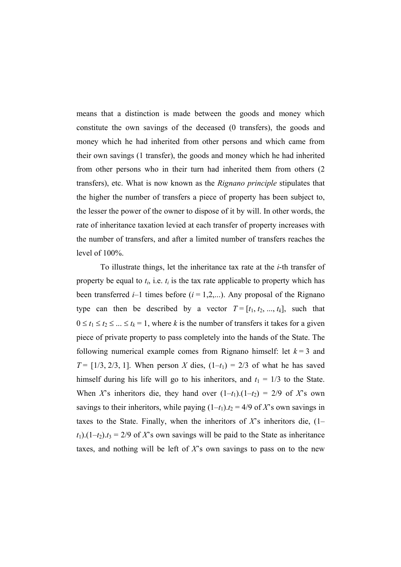means that a distinction is made between the goods and money which constitute the own savings of the deceased (0 transfers), the goods and money which he had inherited from other persons and which came from their own savings (1 transfer), the goods and money which he had inherited from other persons who in their turn had inherited them from others (2 transfers), etc. What is now known as the *Rignano principle* stipulates that the higher the number of transfers a piece of property has been subject to, the lesser the power of the owner to dispose of it by will. In other words, the rate of inheritance taxation levied at each transfer of property increases with the number of transfers, and after a limited number of transfers reaches the level of 100%.

 To illustrate things, let the inheritance tax rate at the *i*-th transfer of property be equal to  $t_i$ , i.e.  $t_i$  is the tax rate applicable to property which has been transferred  $i-1$  times before  $(i = 1,2,...)$ . Any proposal of the Rignano type can then be described by a vector  $T = [t_1, t_2, ..., t_k]$ , such that  $0 \le t_1 \le t_2 \le ... \le t_k = 1$ , where *k* is the number of transfers it takes for a given piece of private property to pass completely into the hands of the State. The following numerical example comes from Rignano himself: let  $k = 3$  and *T* = [1/3, 2/3, 1]. When person *X* dies,  $(1-t_1) = 2/3$  of what he has saved himself during his life will go to his inheritors, and  $t_1 = 1/3$  to the State. When *X*'s inheritors die, they hand over  $(1-t_1)$ . $(1-t_2) = 2/9$  of *X*'s own savings to their inheritors, while paying  $(1-t_1) \cdot t_2 = 4/9$  of *X*'s own savings in taxes to the State. Finally, when the inheritors of  $X$ 's inheritors die,  $(1$  $t_1$ ).(1– $t_2$ ). $t_3$  = 2/9 of *X*'s own savings will be paid to the State as inheritance taxes, and nothing will be left of *X*'s own savings to pass on to the new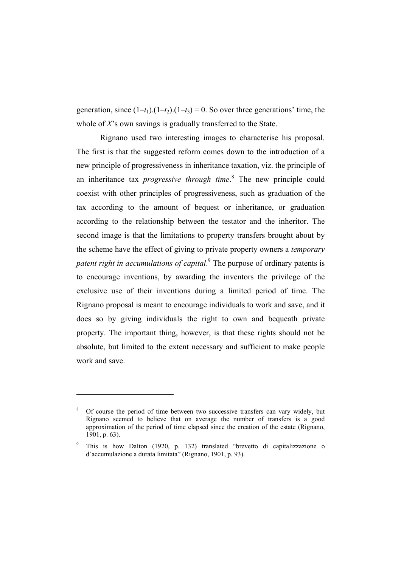generation, since  $(1-t_1)$ . $(1-t_2)$ . $(1-t_3) = 0$ . So over three generations' time, the whole of *X*'s own savings is gradually transferred to the State.

 Rignano used two interesting images to characterise his proposal. The first is that the suggested reform comes down to the introduction of a new principle of progressiveness in inheritance taxation, viz. the principle of an inheritance tax *progressive through time*. 8 The new principle could coexist with other principles of progressiveness, such as graduation of the tax according to the amount of bequest or inheritance, or graduation according to the relationship between the testator and the inheritor. The second image is that the limitations to property transfers brought about by the scheme have the effect of giving to private property owners a *temporary*  patent right in accumulations of capital.<sup>9</sup> The purpose of ordinary patents is to encourage inventions, by awarding the inventors the privilege of the exclusive use of their inventions during a limited period of time. The Rignano proposal is meant to encourage individuals to work and save, and it does so by giving individuals the right to own and bequeath private property. The important thing, however, is that these rights should not be absolute, but limited to the extent necessary and sufficient to make people work and save.

<sup>8</sup> Of course the period of time between two successive transfers can vary widely, but Rignano seemed to believe that on average the number of transfers is a good approximation of the period of time elapsed since the creation of the estate (Rignano, 1901, p. 63).

<sup>9</sup> This is how Dalton (1920, p. 132) translated "brevetto di capitalizzazione o d'accumulazione a durata limitata" (Rignano, 1901, p. 93).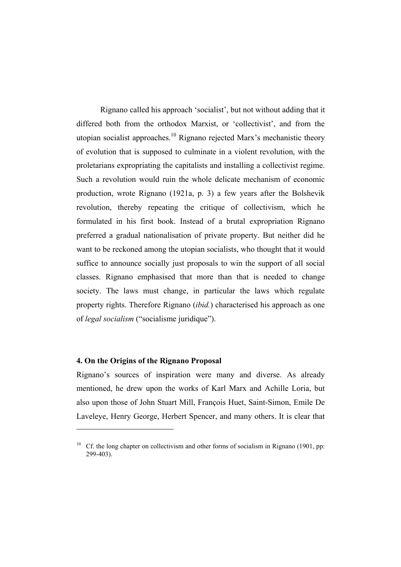Rignano called his approach 'socialist', but not without adding that it differed both from the orthodox Marxist, or 'collectivist', and from the utopian socialist approaches.<sup>10</sup> Rignano rejected Marx's mechanistic theory of evolution that is supposed to culminate in a violent revolution, with the proletarians expropriating the capitalists and installing a collectivist regime. Such a revolution would ruin the whole delicate mechanism of economic production, wrote Rignano (1921a, p. 3) a few years after the Bolshevik revolution, thereby repeating the critique of collectivism, which he formulated in his first book. Instead of a brutal expropriation Rignano preferred a gradual nationalisation of private property. But neither did he want to be reckoned among the utopian socialists, who thought that it would suffice to announce socially just proposals to win the support of all social classes. Rignano emphasised that more than that is needed to change society. The laws must change, in particular the laws which regulate property rights. Therefore Rignano (*ibid.*) characterised his approach as one of *legal socialism* ("socialisme juridique").

#### **4. On the Origins of the Rignano Proposal**

 $\overline{a}$ 

Rignano's sources of inspiration were many and diverse. As already mentioned, he drew upon the works of Karl Marx and Achille Loria, but also upon those of John Stuart Mill, François Huet, Saint-Simon, Emile De Laveleye, Henry George, Herbert Spencer, and many others. It is clear that

<sup>&</sup>lt;sup>10</sup> Cf. the long chapter on collectivism and other forms of socialism in Rignano (1901, pp: 299-403).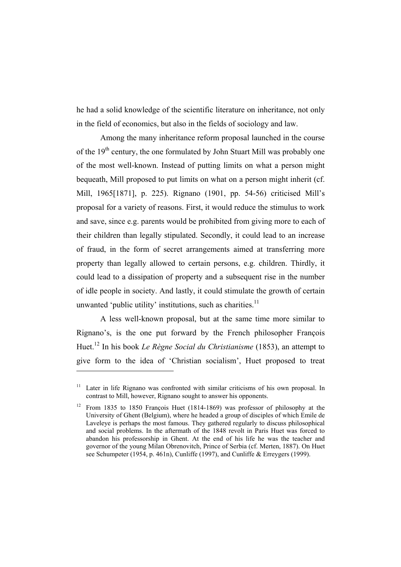he had a solid knowledge of the scientific literature on inheritance, not only in the field of economics, but also in the fields of sociology and law.

 Among the many inheritance reform proposal launched in the course of the 19<sup>th</sup> century, the one formulated by John Stuart Mill was probably one of the most well-known. Instead of putting limits on what a person might bequeath, Mill proposed to put limits on what on a person might inherit (cf. Mill, 1965[1871], p. 225). Rignano (1901, pp. 54-56) criticised Mill's proposal for a variety of reasons. First, it would reduce the stimulus to work and save, since e.g. parents would be prohibited from giving more to each of their children than legally stipulated. Secondly, it could lead to an increase of fraud, in the form of secret arrangements aimed at transferring more property than legally allowed to certain persons, e.g. children. Thirdly, it could lead to a dissipation of property and a subsequent rise in the number of idle people in society. And lastly, it could stimulate the growth of certain unwanted 'public utility' institutions, such as charities. $<sup>11</sup>$ </sup>

 A less well-known proposal, but at the same time more similar to Rignano's, is the one put forward by the French philosopher François Huet.12 In his book *Le Règne Social du Christianisme* (1853), an attempt to give form to the idea of 'Christian socialism', Huet proposed to treat

<sup>&</sup>lt;sup>11</sup> Later in life Rignano was confronted with similar criticisms of his own proposal. In contrast to Mill, however, Rignano sought to answer his opponents.

<sup>12</sup> From 1835 to 1850 François Huet (1814-1869) was professor of philosophy at the University of Ghent (Belgium), where he headed a group of disciples of which Emile de Laveleye is perhaps the most famous. They gathered regularly to discuss philosophical and social problems. In the aftermath of the 1848 revolt in Paris Huet was forced to abandon his professorship in Ghent. At the end of his life he was the teacher and governor of the young Milan Obrenovitch, Prince of Serbia (cf. Merten, 1887). On Huet see Schumpeter (1954, p. 461n), Cunliffe (1997), and Cunliffe & Erreygers (1999).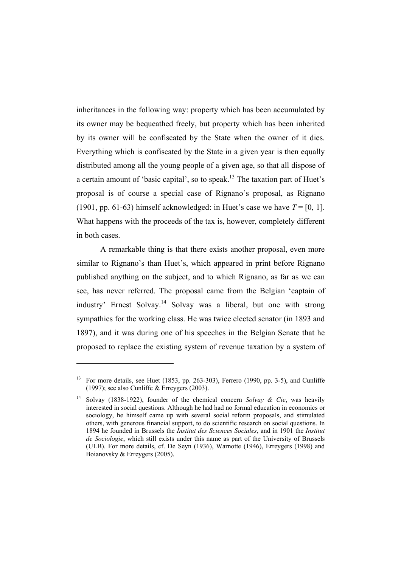inheritances in the following way: property which has been accumulated by its owner may be bequeathed freely, but property which has been inherited by its owner will be confiscated by the State when the owner of it dies. Everything which is confiscated by the State in a given year is then equally distributed among all the young people of a given age, so that all dispose of a certain amount of 'basic capital', so to speak.<sup>13</sup> The taxation part of Huet's proposal is of course a special case of Rignano's proposal, as Rignano (1901, pp. 61-63) himself acknowledged: in Huet's case we have  $T = [0, 1]$ . What happens with the proceeds of the tax is, however, completely different in both cases.

 A remarkable thing is that there exists another proposal, even more similar to Rignano's than Huet's, which appeared in print before Rignano published anything on the subject, and to which Rignano, as far as we can see, has never referred. The proposal came from the Belgian 'captain of industry' Ernest Solvay.14 Solvay was a liberal, but one with strong sympathies for the working class. He was twice elected senator (in 1893 and 1897), and it was during one of his speeches in the Belgian Senate that he proposed to replace the existing system of revenue taxation by a system of

<sup>&</sup>lt;sup>13</sup> For more details, see Huet (1853, pp. 263-303), Ferrero (1990, pp. 3-5), and Cunliffe (1997); see also Cunliffe & Erreygers (2003).

<sup>14</sup> Solvay (1838-1922), founder of the chemical concern *Solvay & Cie*, was heavily interested in social questions. Although he had had no formal education in economics or sociology, he himself came up with several social reform proposals, and stimulated others, with generous financial support, to do scientific research on social questions. In 1894 he founded in Brussels the *Institut des Sciences Sociales*, and in 1901 the *Institut de Sociologie*, which still exists under this name as part of the University of Brussels (ULB). For more details, cf. De Seyn (1936), Warnotte (1946), Erreygers (1998) and Boianovsky & Erreygers (2005).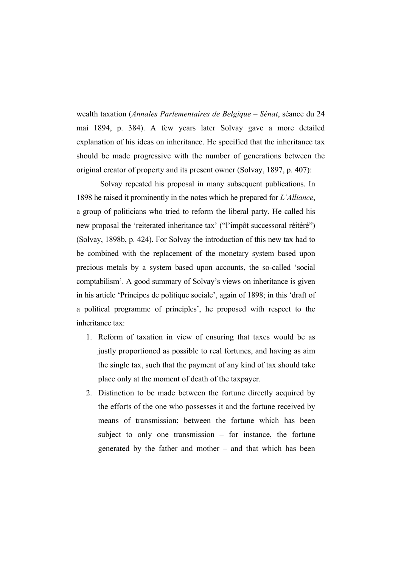wealth taxation (*Annales Parlementaires de Belgique – Sénat*, séance du 24 mai 1894, p. 384). A few years later Solvay gave a more detailed explanation of his ideas on inheritance. He specified that the inheritance tax should be made progressive with the number of generations between the original creator of property and its present owner (Solvay, 1897, p. 407):

 Solvay repeated his proposal in many subsequent publications. In 1898 he raised it prominently in the notes which he prepared for *L'Alliance*, a group of politicians who tried to reform the liberal party. He called his new proposal the 'reiterated inheritance tax' ("l'impôt successoral réitéré") (Solvay, 1898b, p. 424). For Solvay the introduction of this new tax had to be combined with the replacement of the monetary system based upon precious metals by a system based upon accounts, the so-called 'social comptabilism'. A good summary of Solvay's views on inheritance is given in his article 'Principes de politique sociale', again of 1898; in this 'draft of a political programme of principles', he proposed with respect to the inheritance tax:

- 1. Reform of taxation in view of ensuring that taxes would be as justly proportioned as possible to real fortunes, and having as aim the single tax, such that the payment of any kind of tax should take place only at the moment of death of the taxpayer.
- 2. Distinction to be made between the fortune directly acquired by the efforts of the one who possesses it and the fortune received by means of transmission; between the fortune which has been subject to only one transmission – for instance, the fortune generated by the father and mother – and that which has been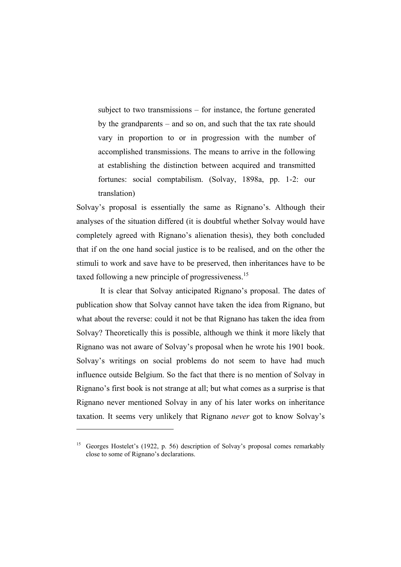subject to two transmissions – for instance, the fortune generated by the grandparents – and so on, and such that the tax rate should vary in proportion to or in progression with the number of accomplished transmissions. The means to arrive in the following at establishing the distinction between acquired and transmitted fortunes: social comptabilism. (Solvay, 1898a, pp. 1-2: our translation)

Solvay's proposal is essentially the same as Rignano's. Although their analyses of the situation differed (it is doubtful whether Solvay would have completely agreed with Rignano's alienation thesis), they both concluded that if on the one hand social justice is to be realised, and on the other the stimuli to work and save have to be preserved, then inheritances have to be taxed following a new principle of progressiveness.<sup>15</sup>

 It is clear that Solvay anticipated Rignano's proposal. The dates of publication show that Solvay cannot have taken the idea from Rignano, but what about the reverse: could it not be that Rignano has taken the idea from Solvay? Theoretically this is possible, although we think it more likely that Rignano was not aware of Solvay's proposal when he wrote his 1901 book. Solvay's writings on social problems do not seem to have had much influence outside Belgium. So the fact that there is no mention of Solvay in Rignano's first book is not strange at all; but what comes as a surprise is that Rignano never mentioned Solvay in any of his later works on inheritance taxation. It seems very unlikely that Rignano *never* got to know Solvay's

<sup>&</sup>lt;sup>15</sup> Georges Hostelet's (1922, p. 56) description of Solvay's proposal comes remarkably close to some of Rignano's declarations.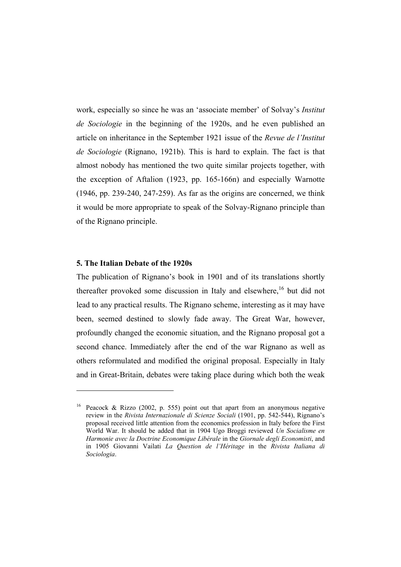work, especially so since he was an 'associate member' of Solvay's *Institut de Sociologie* in the beginning of the 1920s, and he even published an article on inheritance in the September 1921 issue of the *Revue de l'Institut de Sociologie* (Rignano, 1921b). This is hard to explain. The fact is that almost nobody has mentioned the two quite similar projects together, with the exception of Aftalion (1923, pp. 165-166n) and especially Warnotte (1946, pp. 239-240, 247-259). As far as the origins are concerned, we think it would be more appropriate to speak of the Solvay-Rignano principle than of the Rignano principle.

### **5. The Italian Debate of the 1920s**

 $\overline{a}$ 

The publication of Rignano's book in 1901 and of its translations shortly thereafter provoked some discussion in Italy and elsewhere,  $16$  but did not lead to any practical results. The Rignano scheme, interesting as it may have been, seemed destined to slowly fade away. The Great War, however, profoundly changed the economic situation, and the Rignano proposal got a second chance. Immediately after the end of the war Rignano as well as others reformulated and modified the original proposal. Especially in Italy and in Great-Britain, debates were taking place during which both the weak

Peacock & Rizzo (2002, p. 555) point out that apart from an anonymous negative review in the *Rivista Internazionale di Scienze Sociali* (1901, pp. 542-544), Rignano's proposal received little attention from the economics profession in Italy before the First World War. It should be added that in 1904 Ugo Broggi reviewed *Un Socialisme en Harmonie avec la Doctrine Economique Libérale* in the *Giornale degli Economisti*, and in 1905 Giovanni Vailati *La Question de l'Héritage* in the *Rivista Italiana di Sociologia*.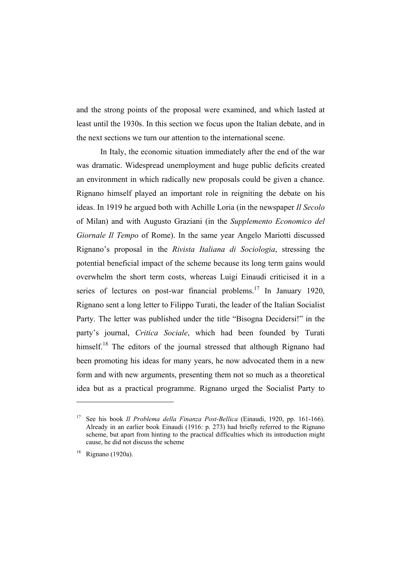and the strong points of the proposal were examined, and which lasted at least until the 1930s. In this section we focus upon the Italian debate, and in the next sections we turn our attention to the international scene.

 In Italy, the economic situation immediately after the end of the war was dramatic. Widespread unemployment and huge public deficits created an environment in which radically new proposals could be given a chance. Rignano himself played an important role in reigniting the debate on his ideas. In 1919 he argued both with Achille Loria (in the newspaper *Il Secolo* of Milan) and with Augusto Graziani (in the *Supplemento Economico del Giornale Il Tempo* of Rome). In the same year Angelo Mariotti discussed Rignano's proposal in the *Rivista Italiana di Sociologia*, stressing the potential beneficial impact of the scheme because its long term gains would overwhelm the short term costs, whereas Luigi Einaudi criticised it in a series of lectures on post-war financial problems.<sup>17</sup> In January 1920, Rignano sent a long letter to Filippo Turati, the leader of the Italian Socialist Party. The letter was published under the title "Bisogna Decidersi!" in the party's journal, *Critica Sociale*, which had been founded by Turati himself.<sup>18</sup> The editors of the journal stressed that although Rignano had been promoting his ideas for many years, he now advocated them in a new form and with new arguments, presenting them not so much as a theoretical idea but as a practical programme. Rignano urged the Socialist Party to

<sup>17</sup> See his book *Il Problema della Finanza Post-Bellica* (Einaudi, 1920, pp. 161-166). Already in an earlier book Einaudi (1916: p. 273) had briefly referred to the Rignano scheme, but apart from hinting to the practical difficulties which its introduction might cause, he did not discuss the scheme

<sup>18</sup> Rignano (1920a).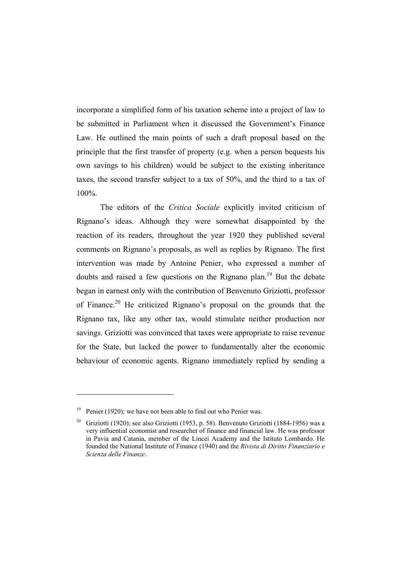incorporate a simplified form of his taxation scheme into a project of law to be submitted in Parliament when it discussed the Government's Finance Law. He outlined the main points of such a draft proposal based on the principle that the first transfer of property (e.g. when a person bequests his own savings to his children) would be subject to the existing inheritance taxes, the second transfer subject to a tax of 50%, and the third to a tax of 100%.

The editors of the *Critica Sociale* explicitly invited criticism of Rignano's ideas. Although they were somewhat disappointed by the reaction of its readers, throughout the year 1920 they published several comments on Rignano's proposals, as well as replies by Rignano. The first intervention was made by Antoine Penier, who expressed a number of doubts and raised a few questions on the Rignano plan.<sup>19</sup> But the debate began in earnest only with the contribution of Benvenuto Griziotti, professor of Finance.20 He criticized Rignano's proposal on the grounds that the Rignano tax, like any other tax, would stimulate neither production nor savings. Griziotti was convinced that taxes were appropriate to raise revenue for the State, but lacked the power to fundamentally alter the economic behaviour of economic agents. Rignano immediately replied by sending a

<sup>&</sup>lt;sup>19</sup> Penier (1920); we have not been able to find out who Penier was.

<sup>&</sup>lt;sup>20</sup> Griziotti (1920); see also Griziotti (1953, p. 58). Benvenuto Griziotti (1884-1956) was a very influential economist and researcher of finance and financial law. He was professor in Pavia and Catania, member of the Lincei Academy and the Istituto Lombardo. He founded the National Institute of Finance (1940) and the *Rivista di Diritto Finanziario e Scienza delle Finanze*.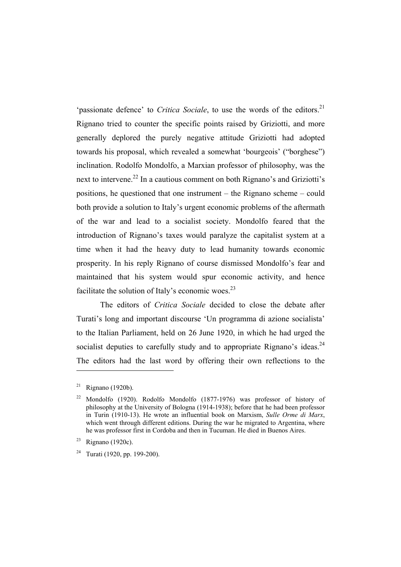'passionate defence' to *Critica Sociale*, to use the words of the editors.<sup>21</sup> Rignano tried to counter the specific points raised by Griziotti, and more generally deplored the purely negative attitude Griziotti had adopted towards his proposal, which revealed a somewhat 'bourgeois' ("borghese") inclination. Rodolfo Mondolfo, a Marxian professor of philosophy, was the next to intervene.<sup>22</sup> In a cautious comment on both Rignano's and Griziotti's positions, he questioned that one instrument – the Rignano scheme – could both provide a solution to Italy's urgent economic problems of the aftermath of the war and lead to a socialist society. Mondolfo feared that the introduction of Rignano's taxes would paralyze the capitalist system at a time when it had the heavy duty to lead humanity towards economic prosperity. In his reply Rignano of course dismissed Mondolfo's fear and maintained that his system would spur economic activity, and hence facilitate the solution of Italy's economic woes. $^{23}$ 

The editors of *Critica Sociale* decided to close the debate after Turati's long and important discourse 'Un programma di azione socialista' to the Italian Parliament, held on 26 June 1920, in which he had urged the socialist deputies to carefully study and to appropriate Rignano's ideas.<sup>24</sup> The editors had the last word by offering their own reflections to the

<sup>&</sup>lt;sup>21</sup> Rignano (1920b).

<sup>22</sup> Mondolfo (1920). Rodolfo Mondolfo (1877-1976) was professor of history of philosophy at the University of Bologna (1914-1938); before that he had been professor in Turin (1910-13). He wrote an influential book on Marxism, *Sulle Orme di Marx*, which went through different editions. During the war he migrated to Argentina, where he was professor first in Cordoba and then in Tucuman. He died in Buenos Aires.

<sup>&</sup>lt;sup>23</sup> Rignano (1920c).

<sup>&</sup>lt;sup>24</sup> Turati (1920, pp. 199-200).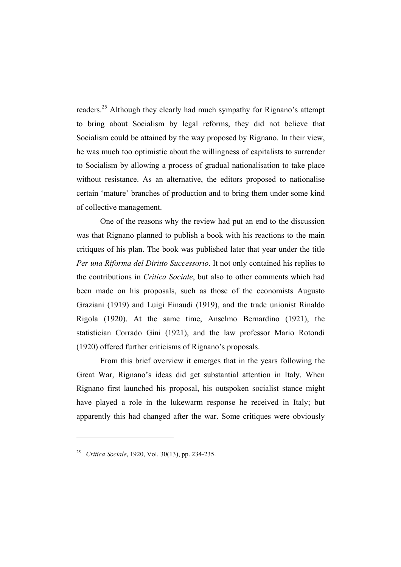readers.25 Although they clearly had much sympathy for Rignano's attempt to bring about Socialism by legal reforms, they did not believe that Socialism could be attained by the way proposed by Rignano. In their view, he was much too optimistic about the willingness of capitalists to surrender to Socialism by allowing a process of gradual nationalisation to take place without resistance. As an alternative, the editors proposed to nationalise certain 'mature' branches of production and to bring them under some kind of collective management.

One of the reasons why the review had put an end to the discussion was that Rignano planned to publish a book with his reactions to the main critiques of his plan. The book was published later that year under the title *Per una Riforma del Diritto Successorio*. It not only contained his replies to the contributions in *Critica Sociale*, but also to other comments which had been made on his proposals, such as those of the economists Augusto Graziani (1919) and Luigi Einaudi (1919), and the trade unionist Rinaldo Rigola (1920). At the same time, Anselmo Bernardino (1921), the statistician Corrado Gini (1921), and the law professor Mario Rotondi (1920) offered further criticisms of Rignano's proposals.

From this brief overview it emerges that in the years following the Great War, Rignano's ideas did get substantial attention in Italy. When Rignano first launched his proposal, his outspoken socialist stance might have played a role in the lukewarm response he received in Italy; but apparently this had changed after the war. Some critiques were obviously

<sup>25</sup> *Critica Sociale*, 1920, Vol. 30(13), pp. 234-235.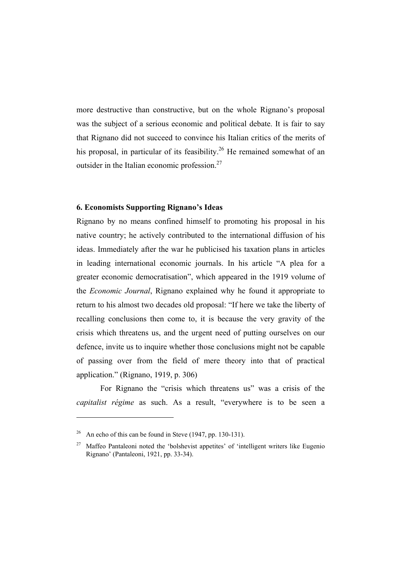more destructive than constructive, but on the whole Rignano's proposal was the subject of a serious economic and political debate. It is fair to say that Rignano did not succeed to convince his Italian critics of the merits of his proposal, in particular of its feasibility.<sup>26</sup> He remained somewhat of an outsider in the Italian economic profession.27

#### **6. Economists Supporting Rignano's Ideas**

Rignano by no means confined himself to promoting his proposal in his native country; he actively contributed to the international diffusion of his ideas. Immediately after the war he publicised his taxation plans in articles in leading international economic journals. In his article "A plea for a greater economic democratisation", which appeared in the 1919 volume of the *Economic Journal*, Rignano explained why he found it appropriate to return to his almost two decades old proposal: "If here we take the liberty of recalling conclusions then come to, it is because the very gravity of the crisis which threatens us, and the urgent need of putting ourselves on our defence, invite us to inquire whether those conclusions might not be capable of passing over from the field of mere theory into that of practical application." (Rignano, 1919, p. 306)

 For Rignano the "crisis which threatens us" was a crisis of the *capitalist régime* as such. As a result, "everywhere is to be seen a

<sup>&</sup>lt;sup>26</sup> An echo of this can be found in Steve (1947, pp. 130-131).

<sup>&</sup>lt;sup>27</sup> Maffeo Pantaleoni noted the 'bolshevist appetites' of 'intelligent writers like Eugenio Rignano' (Pantaleoni, 1921, pp. 33-34).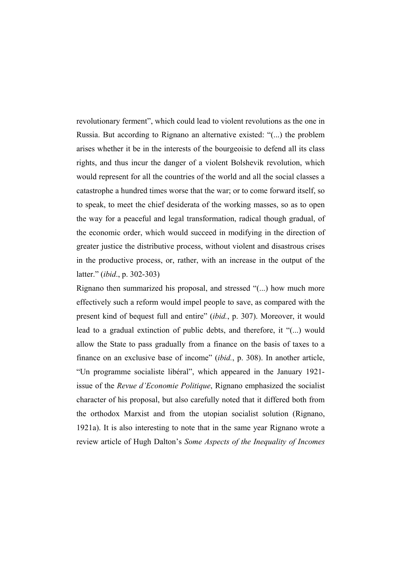revolutionary ferment", which could lead to violent revolutions as the one in Russia. But according to Rignano an alternative existed: "(...) the problem arises whether it be in the interests of the bourgeoisie to defend all its class rights, and thus incur the danger of a violent Bolshevik revolution, which would represent for all the countries of the world and all the social classes a catastrophe a hundred times worse that the war; or to come forward itself, so to speak, to meet the chief desiderata of the working masses, so as to open the way for a peaceful and legal transformation, radical though gradual, of the economic order, which would succeed in modifying in the direction of greater justice the distributive process, without violent and disastrous crises in the productive process, or, rather, with an increase in the output of the latter." (*ibid*., p. 302-303)

Rignano then summarized his proposal, and stressed "(...) how much more effectively such a reform would impel people to save, as compared with the present kind of bequest full and entire" (*ibid.*, p. 307). Moreover, it would lead to a gradual extinction of public debts, and therefore, it "(...) would allow the State to pass gradually from a finance on the basis of taxes to a finance on an exclusive base of income" (*ibid.*, p. 308). In another article, "Un programme socialiste libéral", which appeared in the January 1921 issue of the *Revue d'Economie Politique*, Rignano emphasized the socialist character of his proposal, but also carefully noted that it differed both from the orthodox Marxist and from the utopian socialist solution (Rignano, 1921a). It is also interesting to note that in the same year Rignano wrote a review article of Hugh Dalton's *Some Aspects of the Inequality of Incomes*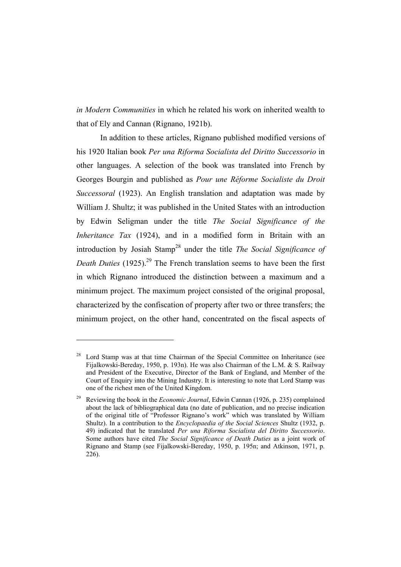*in Modern Communities* in which he related his work on inherited wealth to that of Ely and Cannan (Rignano, 1921b).

In addition to these articles, Rignano published modified versions of his 1920 Italian book *Per una Riforma Socialista del Diritto Successorio* in other languages. A selection of the book was translated into French by Georges Bourgin and published as *Pour une Réforme Socialiste du Droit Successoral* (1923). An English translation and adaptation was made by William J. Shultz; it was published in the United States with an introduction by Edwin Seligman under the title *The Social Significance of the Inheritance Tax* (1924), and in a modified form in Britain with an introduction by Josiah Stamp28 under the title *The Social Significance of Death Duties* (1925).<sup>29</sup> The French translation seems to have been the first in which Rignano introduced the distinction between a maximum and a minimum project. The maximum project consisted of the original proposal, characterized by the confiscation of property after two or three transfers; the minimum project, on the other hand, concentrated on the fiscal aspects of

Lord Stamp was at that time Chairman of the Special Committee on Inheritance (see Fijalkowski-Bereday, 1950, p. 193n). He was also Chairman of the L.M. & S. Railway and President of the Executive, Director of the Bank of England, and Member of the Court of Enquiry into the Mining Industry. It is interesting to note that Lord Stamp was one of the richest men of the United Kingdom.

<sup>29</sup> Reviewing the book in the *Economic Journal*, Edwin Cannan (1926, p. 235) complained about the lack of bibliographical data (no date of publication, and no precise indication of the original title of "Professor Rignano's work" which was translated by William Shultz). In a contribution to the *Encyclopaedia of the Social Sciences* Shultz (1932, p. 49) indicated that he translated *Per una Riforma Socialista del Diritto Successorio*. Some authors have cited *The Social Significance of Death Duties* as a joint work of Rignano and Stamp (see Fijalkowski-Bereday, 1950, p. 195n; and Atkinson, 1971, p. 226).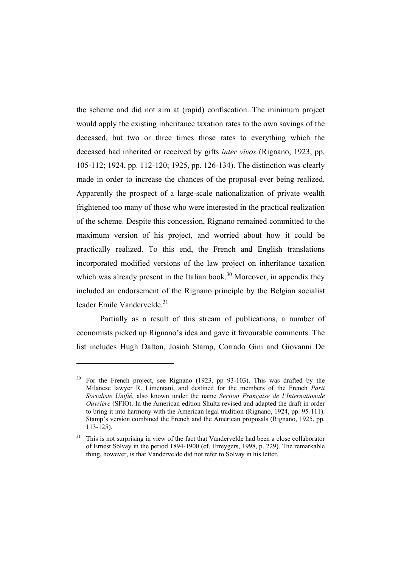the scheme and did not aim at (rapid) confiscation. The minimum project would apply the existing inheritance taxation rates to the own savings of the deceased, but two or three times those rates to everything which the deceased had inherited or received by gifts *inter vivos* (Rignano, 1923, pp. 105-112; 1924, pp. 112-120; 1925, pp. 126-134). The distinction was clearly made in order to increase the chances of the proposal ever being realized. Apparently the prospect of a large-scale nationalization of private wealth frightened too many of those who were interested in the practical realization of the scheme. Despite this concession, Rignano remained committed to the maximum version of his project, and worried about how it could be practically realized. To this end, the French and English translations incorporated modified versions of the law project on inheritance taxation which was already present in the Italian book.<sup>30</sup> Moreover, in appendix they included an endorsement of the Rignano principle by the Belgian socialist leader Emile Vandervelde.<sup>31</sup>

 Partially as a result of this stream of publications, a number of economists picked up Rignano's idea and gave it favourable comments. The list includes Hugh Dalton, Josiah Stamp, Corrado Gini and Giovanni De

<sup>30</sup> For the French project, see Rignano (1923, pp 93-103). This was drafted by the Milanese lawyer R. Limentani, and destined for the members of the French *Parti Socialiste Unifié*, also known under the name *Section Française de l'Internationale Ouvrière* (SFIO). In the American edition Shultz revised and adapted the draft in order to bring it into harmony with the American legal tradition (Rignano, 1924, pp. 95-111). Stamp's version combined the French and the American proposals (Rignano, 1925, pp. 113-125).

This is not surprising in view of the fact that Vandervelde had been a close collaborator of Ernest Solvay in the period 1894-1900 (cf. Erreygers, 1998, p. 229). The remarkable thing, however, is that Vandervelde did not refer to Solvay in his letter.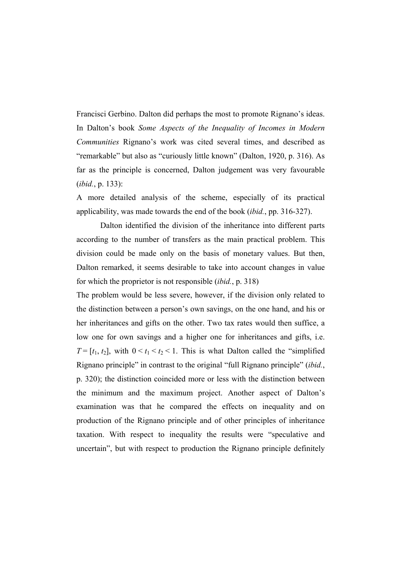Francisci Gerbino. Dalton did perhaps the most to promote Rignano's ideas. In Dalton's book *Some Aspects of the Inequality of Incomes in Modern Communities* Rignano's work was cited several times, and described as "remarkable" but also as "curiously little known" (Dalton, 1920, p. 316). As far as the principle is concerned, Dalton judgement was very favourable (*ibid.*, p. 133):

A more detailed analysis of the scheme, especially of its practical applicability, was made towards the end of the book (*ibid.*, pp. 316-327).

 Dalton identified the division of the inheritance into different parts according to the number of transfers as the main practical problem. This division could be made only on the basis of monetary values. But then, Dalton remarked, it seems desirable to take into account changes in value for which the proprietor is not responsible (*ibid.*, p. 318)

The problem would be less severe, however, if the division only related to the distinction between a person's own savings, on the one hand, and his or her inheritances and gifts on the other. Two tax rates would then suffice, a low one for own savings and a higher one for inheritances and gifts, i.e. *T* =  $[t_1, t_2]$ , with  $0 \le t_1 \le t_2 \le 1$ . This is what Dalton called the "simplified" Rignano principle" in contrast to the original "full Rignano principle" (*ibid.*, p. 320); the distinction coincided more or less with the distinction between the minimum and the maximum project. Another aspect of Dalton's examination was that he compared the effects on inequality and on production of the Rignano principle and of other principles of inheritance taxation. With respect to inequality the results were "speculative and uncertain", but with respect to production the Rignano principle definitely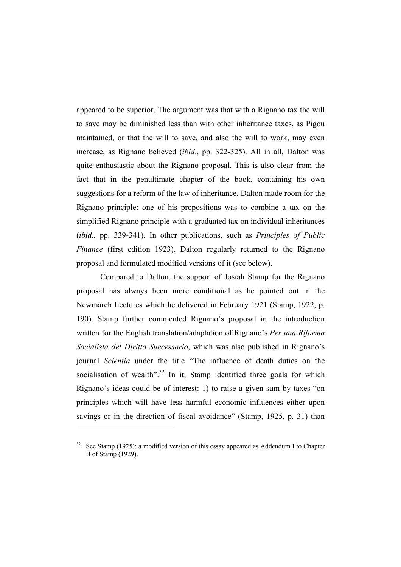appeared to be superior. The argument was that with a Rignano tax the will to save may be diminished less than with other inheritance taxes, as Pigou maintained, or that the will to save, and also the will to work, may even increase, as Rignano believed (*ibid*., pp. 322-325). All in all, Dalton was quite enthusiastic about the Rignano proposal. This is also clear from the fact that in the penultimate chapter of the book, containing his own suggestions for a reform of the law of inheritance, Dalton made room for the Rignano principle: one of his propositions was to combine a tax on the simplified Rignano principle with a graduated tax on individual inheritances (*ibid.*, pp. 339-341). In other publications, such as *Principles of Public Finance* (first edition 1923), Dalton regularly returned to the Rignano proposal and formulated modified versions of it (see below).

 Compared to Dalton, the support of Josiah Stamp for the Rignano proposal has always been more conditional as he pointed out in the Newmarch Lectures which he delivered in February 1921 (Stamp, 1922, p. 190). Stamp further commented Rignano's proposal in the introduction written for the English translation/adaptation of Rignano's *Per una Riforma Socialista del Diritto Successorio*, which was also published in Rignano's journal *Scientia* under the title "The influence of death duties on the socialisation of wealth<sup>", 32</sup> In it. Stamp identified three goals for which Rignano's ideas could be of interest: 1) to raise a given sum by taxes "on principles which will have less harmful economic influences either upon savings or in the direction of fiscal avoidance" (Stamp, 1925, p. 31) than

 $32$  See Stamp (1925); a modified version of this essay appeared as Addendum I to Chapter II of Stamp (1929).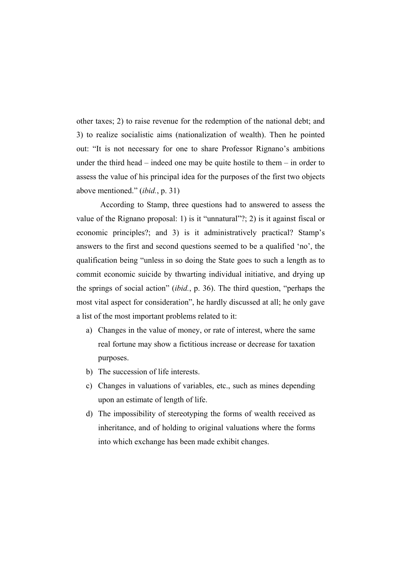other taxes; 2) to raise revenue for the redemption of the national debt; and 3) to realize socialistic aims (nationalization of wealth). Then he pointed out: "It is not necessary for one to share Professor Rignano's ambitions under the third head – indeed one may be quite hostile to them – in order to assess the value of his principal idea for the purposes of the first two objects above mentioned." (*ibid.*, p. 31)

 According to Stamp, three questions had to answered to assess the value of the Rignano proposal: 1) is it "unnatural"?; 2) is it against fiscal or economic principles?; and 3) is it administratively practical? Stamp's answers to the first and second questions seemed to be a qualified 'no', the qualification being "unless in so doing the State goes to such a length as to commit economic suicide by thwarting individual initiative, and drying up the springs of social action" (*ibid.*, p. 36). The third question, "perhaps the most vital aspect for consideration", he hardly discussed at all; he only gave a list of the most important problems related to it:

- a) Changes in the value of money, or rate of interest, where the same real fortune may show a fictitious increase or decrease for taxation purposes.
- b) The succession of life interests.
- c) Changes in valuations of variables, etc., such as mines depending upon an estimate of length of life.
- d) The impossibility of stereotyping the forms of wealth received as inheritance, and of holding to original valuations where the forms into which exchange has been made exhibit changes.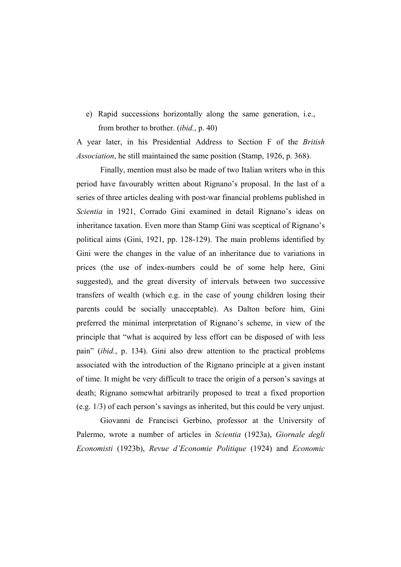e) Rapid successions horizontally along the same generation, i.e., from brother to brother. (*ibid.*, p. 40)

A year later, in his Presidential Address to Section F of the *British Association*, he still maintained the same position (Stamp, 1926, p. 368).

 Finally, mention must also be made of two Italian writers who in this period have favourably written about Rignano's proposal. In the last of a series of three articles dealing with post-war financial problems published in *Scientia* in 1921, Corrado Gini examined in detail Rignano's ideas on inheritance taxation. Even more than Stamp Gini was sceptical of Rignano's political aims (Gini, 1921, pp. 128-129). The main problems identified by Gini were the changes in the value of an inheritance due to variations in prices (the use of index-numbers could be of some help here, Gini suggested), and the great diversity of intervals between two successive transfers of wealth (which e.g. in the case of young children losing their parents could be socially unacceptable). As Dalton before him, Gini preferred the minimal interpretation of Rignano's scheme, in view of the principle that "what is acquired by less effort can be disposed of with less pain" (*ibid.*, p. 134). Gini also drew attention to the practical problems associated with the introduction of the Rignano principle at a given instant of time. It might be very difficult to trace the origin of a person's savings at death; Rignano somewhat arbitrarily proposed to treat a fixed proportion (e.g. 1/3) of each person's savings as inherited, but this could be very unjust.

 Giovanni de Francisci Gerbino, professor at the University of Palermo, wrote a number of articles in *Scientia* (1923a), *Giornale degli Economisti* (1923b), *Revue d'Economie Politique* (1924) and *Economic*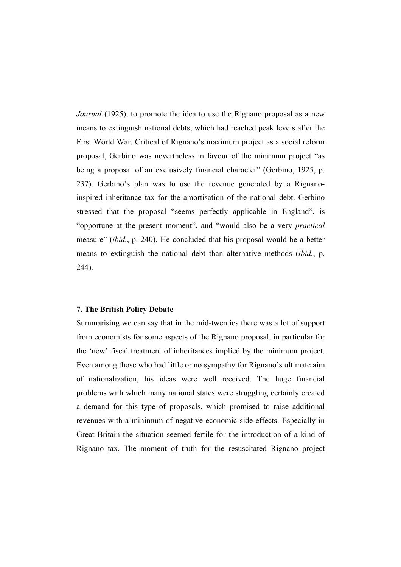*Journal* (1925), to promote the idea to use the Rignano proposal as a new means to extinguish national debts, which had reached peak levels after the First World War. Critical of Rignano's maximum project as a social reform proposal, Gerbino was nevertheless in favour of the minimum project "as being a proposal of an exclusively financial character" (Gerbino, 1925, p. 237). Gerbino's plan was to use the revenue generated by a Rignanoinspired inheritance tax for the amortisation of the national debt. Gerbino stressed that the proposal "seems perfectly applicable in England", is "opportune at the present moment", and "would also be a very *practical* measure" (*ibid.*, p. 240). He concluded that his proposal would be a better means to extinguish the national debt than alternative methods (*ibid.*, p. 244).

#### **7. The British Policy Debate**

Summarising we can say that in the mid-twenties there was a lot of support from economists for some aspects of the Rignano proposal, in particular for the 'new' fiscal treatment of inheritances implied by the minimum project. Even among those who had little or no sympathy for Rignano's ultimate aim of nationalization, his ideas were well received. The huge financial problems with which many national states were struggling certainly created a demand for this type of proposals, which promised to raise additional revenues with a minimum of negative economic side-effects. Especially in Great Britain the situation seemed fertile for the introduction of a kind of Rignano tax. The moment of truth for the resuscitated Rignano project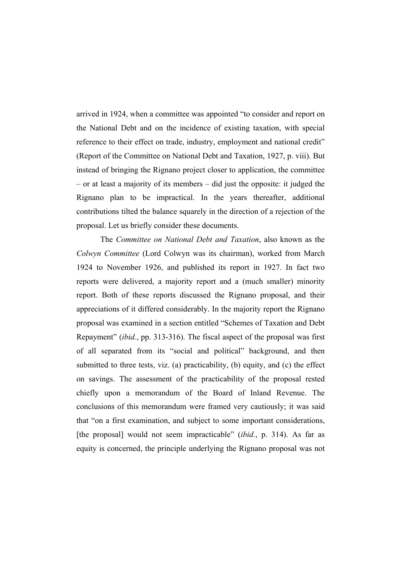arrived in 1924, when a committee was appointed "to consider and report on the National Debt and on the incidence of existing taxation, with special reference to their effect on trade, industry, employment and national credit" (Report of the Committee on National Debt and Taxation, 1927, p. viii). But instead of bringing the Rignano project closer to application, the committee – or at least a majority of its members – did just the opposite: it judged the Rignano plan to be impractical. In the years thereafter, additional contributions tilted the balance squarely in the direction of a rejection of the proposal. Let us briefly consider these documents.

 The *Committee on National Debt and Taxation*, also known as the *Colwyn Committee* (Lord Colwyn was its chairman), worked from March 1924 to November 1926, and published its report in 1927. In fact two reports were delivered, a majority report and a (much smaller) minority report. Both of these reports discussed the Rignano proposal, and their appreciations of it differed considerably. In the majority report the Rignano proposal was examined in a section entitled "Schemes of Taxation and Debt Repayment" (*ibid.*, pp. 313-316). The fiscal aspect of the proposal was first of all separated from its "social and political" background, and then submitted to three tests, viz. (a) practicability, (b) equity, and (c) the effect on savings. The assessment of the practicability of the proposal rested chiefly upon a memorandum of the Board of Inland Revenue. The conclusions of this memorandum were framed very cautiously; it was said that "on a first examination, and subject to some important considerations, [the proposal] would not seem impracticable" (*ibid.*, p. 314). As far as equity is concerned, the principle underlying the Rignano proposal was not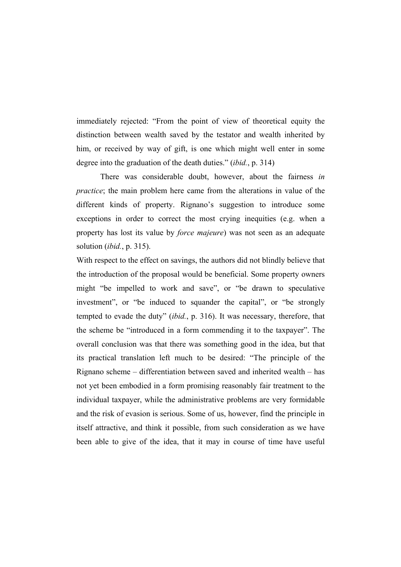immediately rejected: "From the point of view of theoretical equity the distinction between wealth saved by the testator and wealth inherited by him, or received by way of gift, is one which might well enter in some degree into the graduation of the death duties." (*ibid.*, p. 314)

 There was considerable doubt, however, about the fairness *in practice*; the main problem here came from the alterations in value of the different kinds of property. Rignano's suggestion to introduce some exceptions in order to correct the most crying inequities (e.g. when a property has lost its value by *force majeure*) was not seen as an adequate solution (*ibid.*, p. 315).

With respect to the effect on savings, the authors did not blindly believe that the introduction of the proposal would be beneficial. Some property owners might "be impelled to work and save", or "be drawn to speculative investment", or "be induced to squander the capital", or "be strongly tempted to evade the duty" (*ibid.*, p. 316). It was necessary, therefore, that the scheme be "introduced in a form commending it to the taxpayer". The overall conclusion was that there was something good in the idea, but that its practical translation left much to be desired: "The principle of the Rignano scheme – differentiation between saved and inherited wealth – has not yet been embodied in a form promising reasonably fair treatment to the individual taxpayer, while the administrative problems are very formidable and the risk of evasion is serious. Some of us, however, find the principle in itself attractive, and think it possible, from such consideration as we have been able to give of the idea, that it may in course of time have useful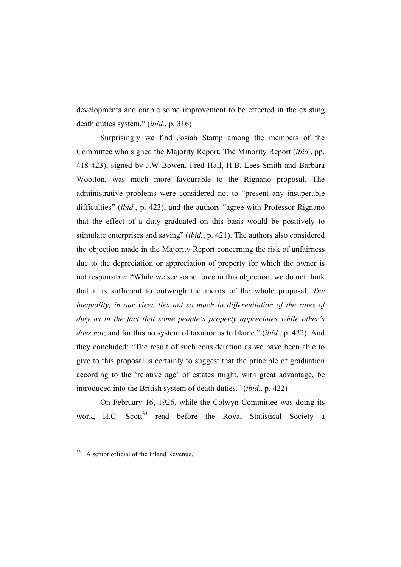developments and enable some improvement to be effected in the existing death duties system." (*ibid.*, p. 316)

 Surprisingly we find Josiah Stamp among the members of the Committee who signed the Majority Report. The Minority Report (*ibid.*, pp. 418-423), signed by J.W Bowen, Fred Hall, H.B. Lees-Smith and Barbara Wootton, was much more favourable to the Rignano proposal. The administrative problems were considered not to "present any insuperable difficulties" (*ibid.*, p. 423), and the authors "agree with Professor Rignano that the effect of a duty graduated on this basis would be positively to stimulate enterprises and saving" (*ibid.*, p. 421). The authors also considered the objection made in the Majority Report concerning the risk of unfairness due to the depreciation or appreciation of property for which the owner is not responsible: "While we see some force in this objection, we do not think that it is sufficient to outweigh the merits of the whole proposal. *The inequality, in our view, lies not so much in differentiation of the rates of duty as in the fact that some people's property appreciates while other's does not*; and for this no system of taxation is to blame." (*ibid.*, p. 422). And they concluded: "The result of such consideration as we have been able to give to this proposal is certainly to suggest that the principle of graduation according to the 'relative age' of estates might, with great advantage, be introduced into the British system of death duties." (*ibid.*, p. 422)

 On February 16, 1926, while the Colwyn Committee was doing its work, H.C. Scott<sup>33</sup> read before the Royal Statistical Society a

<sup>&</sup>lt;sup>33</sup> A senior official of the Inland Revenue.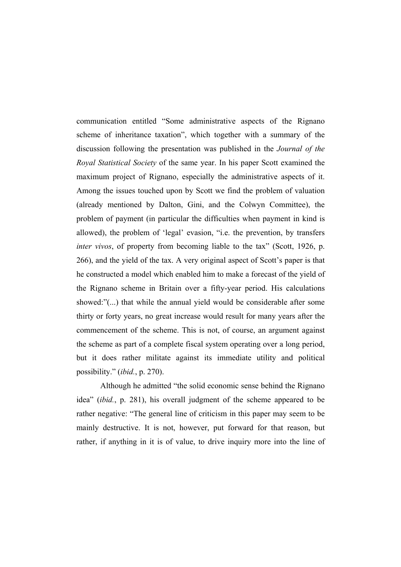communication entitled "Some administrative aspects of the Rignano scheme of inheritance taxation", which together with a summary of the discussion following the presentation was published in the *Journal of the Royal Statistical Society* of the same year. In his paper Scott examined the maximum project of Rignano, especially the administrative aspects of it. Among the issues touched upon by Scott we find the problem of valuation (already mentioned by Dalton, Gini, and the Colwyn Committee), the problem of payment (in particular the difficulties when payment in kind is allowed), the problem of 'legal' evasion, "i.e. the prevention, by transfers *inter vivos*, of property from becoming liable to the tax" (Scott, 1926, p. 266), and the yield of the tax. A very original aspect of Scott's paper is that he constructed a model which enabled him to make a forecast of the yield of the Rignano scheme in Britain over a fifty-year period. His calculations showed:"(...) that while the annual yield would be considerable after some thirty or forty years, no great increase would result for many years after the commencement of the scheme. This is not, of course, an argument against the scheme as part of a complete fiscal system operating over a long period, but it does rather militate against its immediate utility and political possibility." (*ibid.*, p. 270).

 Although he admitted "the solid economic sense behind the Rignano idea" (*ibid.*, p. 281), his overall judgment of the scheme appeared to be rather negative: "The general line of criticism in this paper may seem to be mainly destructive. It is not, however, put forward for that reason, but rather, if anything in it is of value, to drive inquiry more into the line of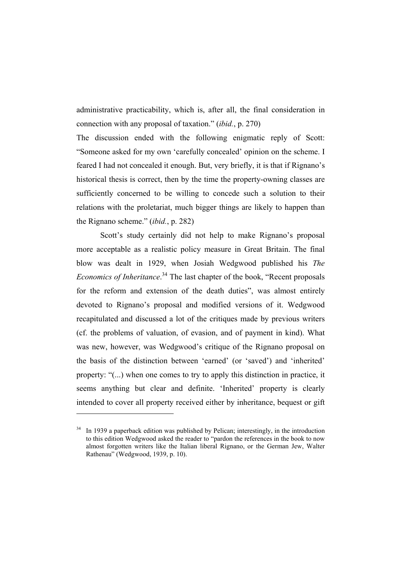administrative practicability, which is, after all, the final consideration in connection with any proposal of taxation." (*ibid.*, p. 270)

The discussion ended with the following enigmatic reply of Scott: "Someone asked for my own 'carefully concealed' opinion on the scheme. I feared I had not concealed it enough. But, very briefly, it is that if Rignano's historical thesis is correct, then by the time the property-owning classes are sufficiently concerned to be willing to concede such a solution to their relations with the proletariat, much bigger things are likely to happen than the Rignano scheme." (*ibid.*, p. 282)

 Scott's study certainly did not help to make Rignano's proposal more acceptable as a realistic policy measure in Great Britain. The final blow was dealt in 1929, when Josiah Wedgwood published his *The Economics of Inheritance*. 34 The last chapter of the book, "Recent proposals for the reform and extension of the death duties", was almost entirely devoted to Rignano's proposal and modified versions of it. Wedgwood recapitulated and discussed a lot of the critiques made by previous writers (cf. the problems of valuation, of evasion, and of payment in kind). What was new, however, was Wedgwood's critique of the Rignano proposal on the basis of the distinction between 'earned' (or 'saved') and 'inherited' property: "(...) when one comes to try to apply this distinction in practice, it seems anything but clear and definite. 'Inherited' property is clearly intended to cover all property received either by inheritance, bequest or gift

In 1939 a paperback edition was published by Pelican; interestingly, in the introduction to this edition Wedgwood asked the reader to "pardon the references in the book to now almost forgotten writers like the Italian liberal Rignano, or the German Jew, Walter Rathenau" (Wedgwood, 1939, p. 10).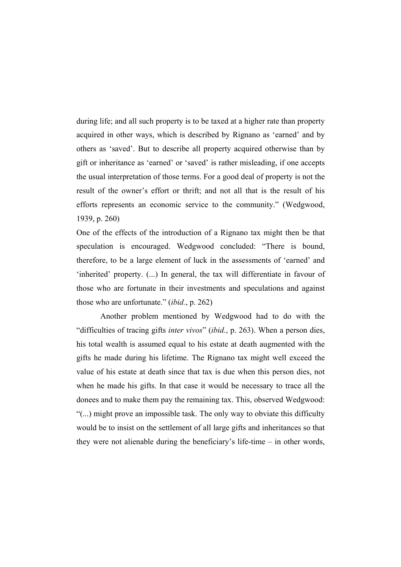during life; and all such property is to be taxed at a higher rate than property acquired in other ways, which is described by Rignano as 'earned' and by others as 'saved'. But to describe all property acquired otherwise than by gift or inheritance as 'earned' or 'saved' is rather misleading, if one accepts the usual interpretation of those terms. For a good deal of property is not the result of the owner's effort or thrift; and not all that is the result of his efforts represents an economic service to the community." (Wedgwood, 1939, p. 260)

One of the effects of the introduction of a Rignano tax might then be that speculation is encouraged. Wedgwood concluded: "There is bound, therefore, to be a large element of luck in the assessments of 'earned' and 'inherited' property. (...) In general, the tax will differentiate in favour of those who are fortunate in their investments and speculations and against those who are unfortunate." (*ibid.*, p. 262)

 Another problem mentioned by Wedgwood had to do with the "difficulties of tracing gifts *inter vivos*" (*ibid.*, p. 263). When a person dies, his total wealth is assumed equal to his estate at death augmented with the gifts he made during his lifetime. The Rignano tax might well exceed the value of his estate at death since that tax is due when this person dies, not when he made his gifts. In that case it would be necessary to trace all the donees and to make them pay the remaining tax. This, observed Wedgwood: "(...) might prove an impossible task. The only way to obviate this difficulty would be to insist on the settlement of all large gifts and inheritances so that they were not alienable during the beneficiary's life-time – in other words,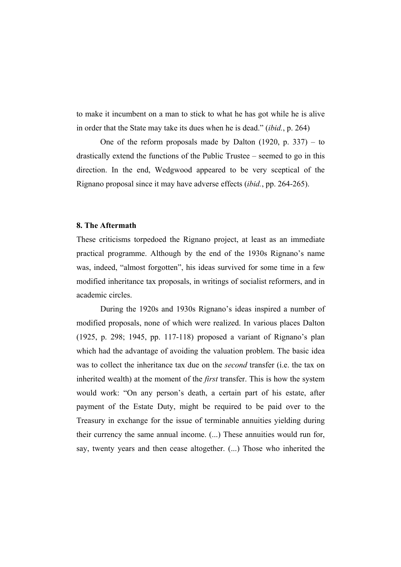to make it incumbent on a man to stick to what he has got while he is alive in order that the State may take its dues when he is dead." (*ibid.*, p. 264)

 One of the reform proposals made by Dalton (1920, p. 337) – to drastically extend the functions of the Public Trustee – seemed to go in this direction. In the end, Wedgwood appeared to be very sceptical of the Rignano proposal since it may have adverse effects (*ibid.*, pp. 264-265).

# **8. The Aftermath**

These criticisms torpedoed the Rignano project, at least as an immediate practical programme. Although by the end of the 1930s Rignano's name was, indeed, "almost forgotten", his ideas survived for some time in a few modified inheritance tax proposals, in writings of socialist reformers, and in academic circles.

 During the 1920s and 1930s Rignano's ideas inspired a number of modified proposals, none of which were realized. In various places Dalton (1925, p. 298; 1945, pp. 117-118) proposed a variant of Rignano's plan which had the advantage of avoiding the valuation problem. The basic idea was to collect the inheritance tax due on the *second* transfer (i.e. the tax on inherited wealth) at the moment of the *first* transfer. This is how the system would work: "On any person's death, a certain part of his estate, after payment of the Estate Duty, might be required to be paid over to the Treasury in exchange for the issue of terminable annuities yielding during their currency the same annual income. (...) These annuities would run for, say, twenty years and then cease altogether. (...) Those who inherited the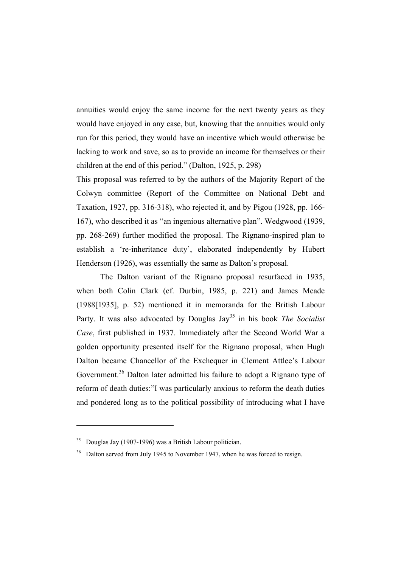annuities would enjoy the same income for the next twenty years as they would have enjoyed in any case, but, knowing that the annuities would only run for this period, they would have an incentive which would otherwise be lacking to work and save, so as to provide an income for themselves or their children at the end of this period." (Dalton, 1925, p. 298)

This proposal was referred to by the authors of the Majority Report of the Colwyn committee (Report of the Committee on National Debt and Taxation, 1927, pp. 316-318), who rejected it, and by Pigou (1928, pp. 166- 167), who described it as "an ingenious alternative plan". Wedgwood (1939, pp. 268-269) further modified the proposal. The Rignano-inspired plan to establish a 're-inheritance duty', elaborated independently by Hubert Henderson (1926), was essentially the same as Dalton's proposal.

 The Dalton variant of the Rignano proposal resurfaced in 1935, when both Colin Clark (cf. Durbin, 1985, p. 221) and James Meade (1988[1935], p. 52) mentioned it in memoranda for the British Labour Party. It was also advocated by Douglas Jay<sup>35</sup> in his book *The Socialist Case*, first published in 1937. Immediately after the Second World War a golden opportunity presented itself for the Rignano proposal, when Hugh Dalton became Chancellor of the Exchequer in Clement Attlee's Labour Government.<sup>36</sup> Dalton later admitted his failure to adopt a Rignano type of reform of death duties:"I was particularly anxious to reform the death duties and pondered long as to the political possibility of introducing what I have

 $35$  Douglas Jay (1907-1996) was a British Labour politician.

<sup>&</sup>lt;sup>36</sup> Dalton served from July 1945 to November 1947, when he was forced to resign.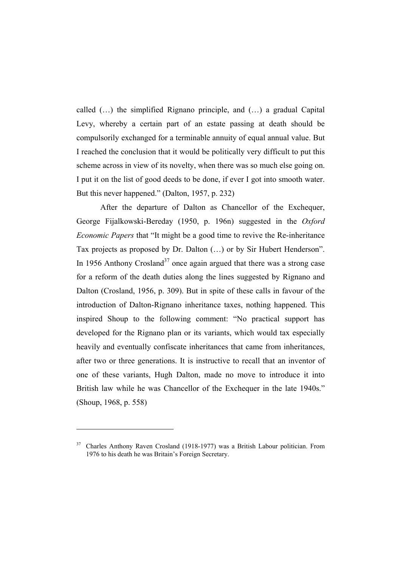called (…) the simplified Rignano principle, and (…) a gradual Capital Levy, whereby a certain part of an estate passing at death should be compulsorily exchanged for a terminable annuity of equal annual value. But I reached the conclusion that it would be politically very difficult to put this scheme across in view of its novelty, when there was so much else going on. I put it on the list of good deeds to be done, if ever I got into smooth water. But this never happened." (Dalton, 1957, p. 232)

 After the departure of Dalton as Chancellor of the Exchequer, George Fijalkowski-Bereday (1950, p. 196n) suggested in the *Oxford Economic Papers* that "It might be a good time to revive the Re-inheritance Tax projects as proposed by Dr. Dalton (…) or by Sir Hubert Henderson". In 1956 Anthony Crosland<sup>37</sup> once again argued that there was a strong case for a reform of the death duties along the lines suggested by Rignano and Dalton (Crosland, 1956, p. 309). But in spite of these calls in favour of the introduction of Dalton-Rignano inheritance taxes, nothing happened. This inspired Shoup to the following comment: "No practical support has developed for the Rignano plan or its variants, which would tax especially heavily and eventually confiscate inheritances that came from inheritances, after two or three generations. It is instructive to recall that an inventor of one of these variants, Hugh Dalton, made no move to introduce it into British law while he was Chancellor of the Exchequer in the late 1940s." (Shoup, 1968, p. 558)

<sup>&</sup>lt;sup>37</sup> Charles Anthony Raven Crosland (1918-1977) was a British Labour politician. From 1976 to his death he was Britain's Foreign Secretary.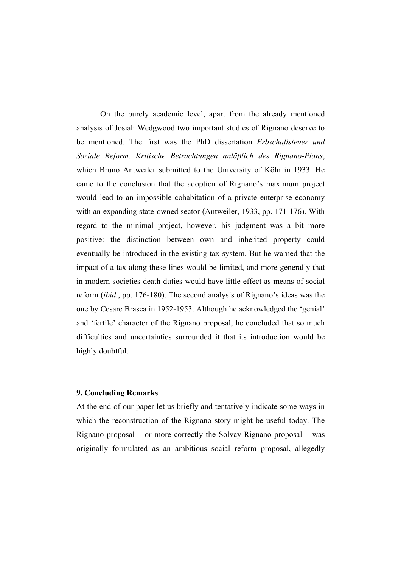On the purely academic level, apart from the already mentioned analysis of Josiah Wedgwood two important studies of Rignano deserve to be mentioned. The first was the PhD dissertation *Erbschaftsteuer und Soziale Reform. Kritische Betrachtungen anläßlich des Rignano-Plans*, which Bruno Antweiler submitted to the University of Köln in 1933. He came to the conclusion that the adoption of Rignano's maximum project would lead to an impossible cohabitation of a private enterprise economy with an expanding state-owned sector (Antweiler, 1933, pp. 171-176). With regard to the minimal project, however, his judgment was a bit more positive: the distinction between own and inherited property could eventually be introduced in the existing tax system. But he warned that the impact of a tax along these lines would be limited, and more generally that in modern societies death duties would have little effect as means of social reform (*ibid.*, pp. 176-180). The second analysis of Rignano's ideas was the one by Cesare Brasca in 1952-1953. Although he acknowledged the 'genial' and 'fertile' character of the Rignano proposal, he concluded that so much difficulties and uncertainties surrounded it that its introduction would be highly doubtful.

#### **9. Concluding Remarks**

At the end of our paper let us briefly and tentatively indicate some ways in which the reconstruction of the Rignano story might be useful today. The Rignano proposal – or more correctly the Solvay-Rignano proposal – was originally formulated as an ambitious social reform proposal, allegedly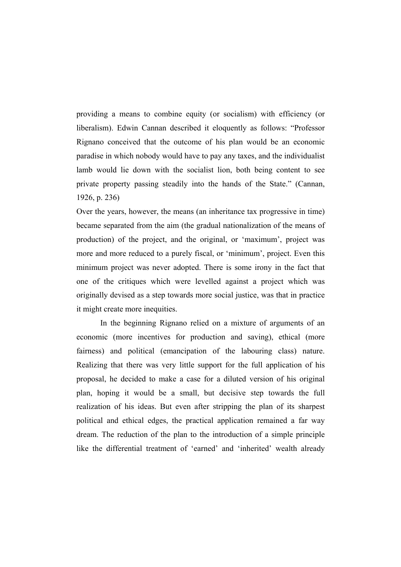providing a means to combine equity (or socialism) with efficiency (or liberalism). Edwin Cannan described it eloquently as follows: "Professor Rignano conceived that the outcome of his plan would be an economic paradise in which nobody would have to pay any taxes, and the individualist lamb would lie down with the socialist lion, both being content to see private property passing steadily into the hands of the State." (Cannan, 1926, p. 236)

Over the years, however, the means (an inheritance tax progressive in time) became separated from the aim (the gradual nationalization of the means of production) of the project, and the original, or 'maximum', project was more and more reduced to a purely fiscal, or 'minimum', project. Even this minimum project was never adopted. There is some irony in the fact that one of the critiques which were levelled against a project which was originally devised as a step towards more social justice, was that in practice it might create more inequities.

 In the beginning Rignano relied on a mixture of arguments of an economic (more incentives for production and saving), ethical (more fairness) and political (emancipation of the labouring class) nature. Realizing that there was very little support for the full application of his proposal, he decided to make a case for a diluted version of his original plan, hoping it would be a small, but decisive step towards the full realization of his ideas. But even after stripping the plan of its sharpest political and ethical edges, the practical application remained a far way dream. The reduction of the plan to the introduction of a simple principle like the differential treatment of 'earned' and 'inherited' wealth already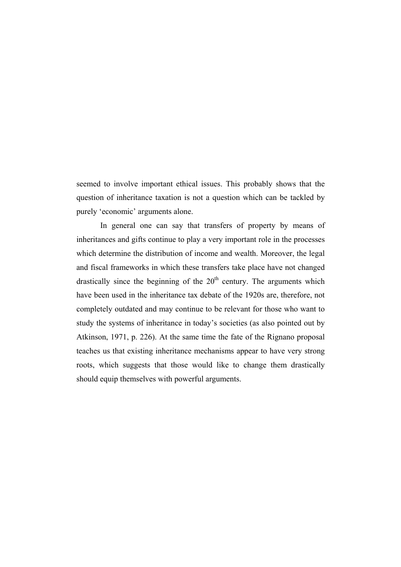seemed to involve important ethical issues. This probably shows that the question of inheritance taxation is not a question which can be tackled by purely 'economic' arguments alone.

 In general one can say that transfers of property by means of inheritances and gifts continue to play a very important role in the processes which determine the distribution of income and wealth. Moreover, the legal and fiscal frameworks in which these transfers take place have not changed drastically since the beginning of the  $20<sup>th</sup>$  century. The arguments which have been used in the inheritance tax debate of the 1920s are, therefore, not completely outdated and may continue to be relevant for those who want to study the systems of inheritance in today's societies (as also pointed out by Atkinson, 1971, p. 226). At the same time the fate of the Rignano proposal teaches us that existing inheritance mechanisms appear to have very strong roots, which suggests that those would like to change them drastically should equip themselves with powerful arguments.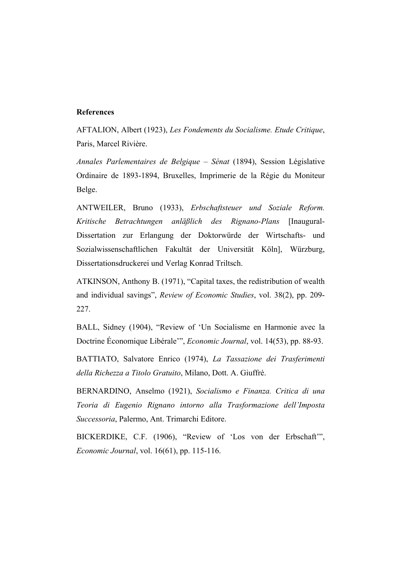#### **References**

AFTALION, Albert (1923), *Les Fondements du Socialisme. Etude Critique*, Paris, Marcel Rivière.

*Annales Parlementaires de Belgique – Sénat* (1894), Session Législative Ordinaire de 1893-1894, Bruxelles, Imprimerie de la Régie du Moniteur Belge.

ANTWEILER, Bruno (1933), *Erbschaftsteuer und Soziale Reform. Kritische Betrachtungen anläßlich des Rignano-Plans* [Inaugural-Dissertation zur Erlangung der Doktorwürde der Wirtschafts- und Sozialwissenschaftlichen Fakultät der Universität Köln], Würzburg, Dissertationsdruckerei und Verlag Konrad Triltsch.

ATKINSON, Anthony B. (1971), "Capital taxes, the redistribution of wealth and individual savings", *Review of Economic Studies*, vol. 38(2), pp. 209- 227.

BALL, Sidney (1904), "Review of 'Un Socialisme en Harmonie avec la Doctrine Économique Libérale'", *Economic Journal*, vol. 14(53), pp. 88-93.

BATTIATO, Salvatore Enrico (1974), *La Tassazione dei Trasferimenti della Richezza a Titolo Gratuito*, Milano, Dott. A. Giuffrè.

BERNARDINO, Anselmo (1921), *Socialismo e Finanza. Critica di una Teoria di Eugenio Rignano intorno alla Trasformazione dell'Imposta Successoria*, Palermo, Ant. Trimarchi Editore.

BICKERDIKE, C.F. (1906), "Review of 'Los von der Erbschaft'", *Economic Journal*, vol. 16(61), pp. 115-116.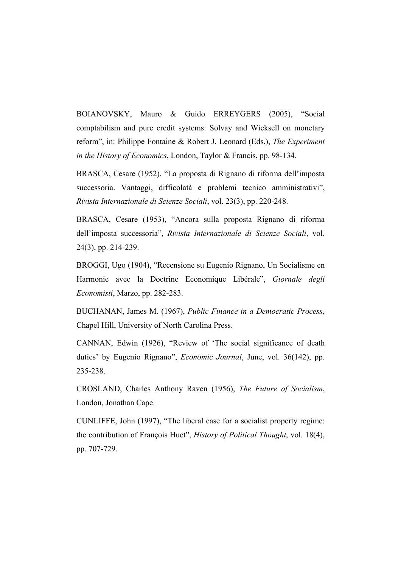BOIANOVSKY, Mauro & Guido ERREYGERS (2005), "Social comptabilism and pure credit systems: Solvay and Wicksell on monetary reform", in: Philippe Fontaine & Robert J. Leonard (Eds.), *The Experiment in the History of Economics*, London, Taylor & Francis, pp. 98-134.

BRASCA, Cesare (1952), "La proposta di Rignano di riforma dell'imposta successoria. Vantaggi, difficolatà e problemi tecnico amministrativi", *Rivista Internazionale di Scienze Sociali*, vol. 23(3), pp. 220-248.

BRASCA, Cesare (1953), "Ancora sulla proposta Rignano di riforma dell'imposta successoria", *Rivista Internazionale di Scienze Sociali*, vol. 24(3), pp. 214-239.

BROGGI, Ugo (1904), "Recensione su Eugenio Rignano, Un Socialisme en Harmonie avec la Doctrine Economique Libérale", *Giornale degli Economisti*, Marzo, pp. 282-283.

BUCHANAN, James M. (1967), *Public Finance in a Democratic Process*, Chapel Hill, University of North Carolina Press.

CANNAN, Edwin (1926), "Review of 'The social significance of death duties' by Eugenio Rignano", *Economic Journal*, June, vol. 36(142), pp. 235-238.

CROSLAND, Charles Anthony Raven (1956), *The Future of Socialism*, London, Jonathan Cape.

CUNLIFFE, John (1997), "The liberal case for a socialist property regime: the contribution of François Huet", *History of Political Thought*, vol. 18(4), pp. 707-729.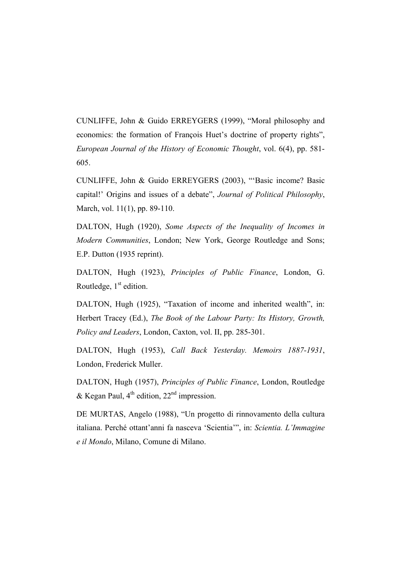CUNLIFFE, John & Guido ERREYGERS (1999), "Moral philosophy and economics: the formation of François Huet's doctrine of property rights", *European Journal of the History of Economic Thought*, vol. 6(4), pp. 581- 605.

CUNLIFFE, John & Guido ERREYGERS (2003), "'Basic income? Basic capital!' Origins and issues of a debate", *Journal of Political Philosophy*, March, vol. 11(1), pp. 89-110.

DALTON, Hugh (1920), *Some Aspects of the Inequality of Incomes in Modern Communities*, London; New York, George Routledge and Sons; E.P. Dutton (1935 reprint).

DALTON, Hugh (1923), *Principles of Public Finance*, London, G. Routledge,  $1<sup>st</sup>$  edition.

DALTON, Hugh (1925), "Taxation of income and inherited wealth", in: Herbert Tracey (Ed.), *The Book of the Labour Party: Its History, Growth, Policy and Leaders*, London, Caxton, vol. II, pp. 285-301.

DALTON, Hugh (1953), *Call Back Yesterday. Memoirs 1887-1931*, London, Frederick Muller.

DALTON, Hugh (1957), *Principles of Public Finance*, London, Routledge & Kegan Paul,  $4^{th}$  edition,  $22^{nd}$  impression.

DE MURTAS, Angelo (1988), "Un progetto di rinnovamento della cultura italiana. Perché ottant'anni fa nasceva 'Scientia'", in: *Scientia. L'Immagine e il Mondo*, Milano, Comune di Milano.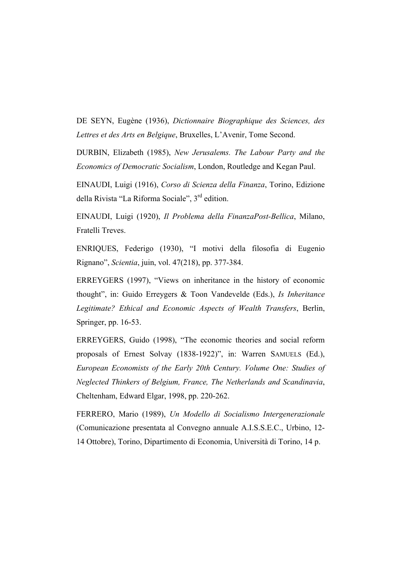DE SEYN, Eugène (1936), *Dictionnaire Biographique des Sciences, des Lettres et des Arts en Belgique*, Bruxelles, L'Avenir, Tome Second.

DURBIN, Elizabeth (1985), *New Jerusalems. The Labour Party and the Economics of Democratic Socialism*, London, Routledge and Kegan Paul.

EINAUDI, Luigi (1916), *Corso di Scienza della Finanza*, Torino, Edizione della Rivista "La Riforma Sociale", 3<sup>rd</sup> edition.

EINAUDI, Luigi (1920), *Il Problema della FinanzaPost-Bellica*, Milano, Fratelli Treves.

ENRIQUES, Federigo (1930), "I motivi della filosofia di Eugenio Rignano", *Scientia*, juin, vol. 47(218), pp. 377-384.

ERREYGERS (1997), "Views on inheritance in the history of economic thought", in: Guido Erreygers & Toon Vandevelde (Eds.), *Is Inheritance Legitimate? Ethical and Economic Aspects of Wealth Transfers*, Berlin, Springer, pp. 16-53.

ERREYGERS, Guido (1998), "The economic theories and social reform proposals of Ernest Solvay (1838-1922)", in: Warren SAMUELS (Ed.), *European Economists of the Early 20th Century. Volume One: Studies of Neglected Thinkers of Belgium, France, The Netherlands and Scandinavia*, Cheltenham, Edward Elgar, 1998, pp. 220-262.

FERRERO, Mario (1989), *Un Modello di Socialismo Intergenerazionale* (Comunicazione presentata al Convegno annuale A.I.S.S.E.C., Urbino, 12- 14 Ottobre), Torino, Dipartimento di Economia, Università di Torino, 14 p.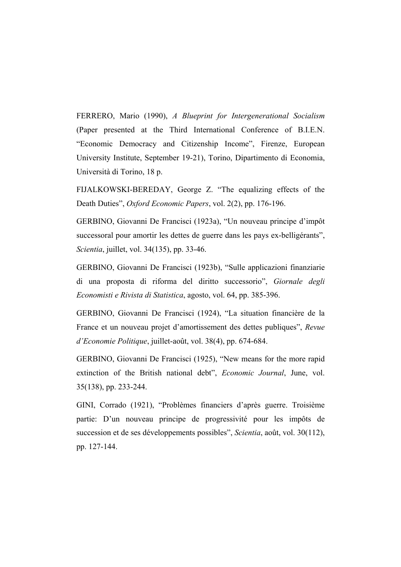FERRERO, Mario (1990), *A Blueprint for Intergenerational Socialism* (Paper presented at the Third International Conference of B.I.E.N. "Economic Democracy and Citizenship Income", Firenze, European University Institute, September 19-21), Torino, Dipartimento di Economia, Università di Torino, 18 p.

FIJALKOWSKI-BEREDAY, George Z. "The equalizing effects of the Death Duties", *Oxford Economic Papers*, vol. 2(2), pp. 176-196.

GERBINO, Giovanni De Francisci (1923a), "Un nouveau principe d'impôt successoral pour amortir les dettes de guerre dans les pays ex-belligérants", *Scientia*, juillet, vol. 34(135), pp. 33-46.

GERBINO, Giovanni De Francisci (1923b), "Sulle applicazioni finanziarie di una proposta di riforma del diritto successorio", *Giornale degli Economisti e Rivista di Statistica*, agosto, vol. 64, pp. 385-396.

GERBINO, Giovanni De Francisci (1924), "La situation financière de la France et un nouveau projet d'amortissement des dettes publiques", *Revue d'Economie Politique*, juillet-août, vol. 38(4), pp. 674-684.

GERBINO, Giovanni De Francisci (1925), "New means for the more rapid extinction of the British national debt", *Economic Journal*, June, vol. 35(138), pp. 233-244.

GINI, Corrado (1921), "Problèmes financiers d'après guerre. Troisième partie: D'un nouveau principe de progressivité pour les impôts de succession et de ses développements possibles", *Scientia*, août, vol. 30(112), pp. 127-144.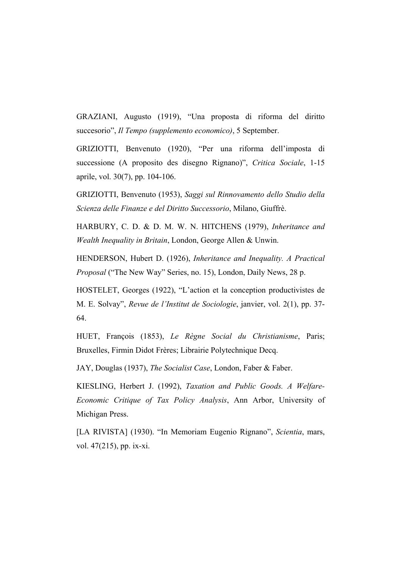GRAZIANI, Augusto (1919), "Una proposta di riforma del diritto succesorio", *Il Tempo (supplemento economico)*, 5 September.

GRIZIOTTI, Benvenuto (1920), "Per una riforma dell'imposta di successione (A proposito des disegno Rignano)", *Critica Sociale*, 1-15 aprile, vol. 30(7), pp. 104-106.

GRIZIOTTI, Benvenuto (1953), *Saggi sul Rinnovamento dello Studio della Scienza delle Finanze e del Diritto Successorio*, Milano, Giuffrè.

HARBURY, C. D. & D. M. W. N. HITCHENS (1979), *Inheritance and Wealth Inequality in Britain*, London, George Allen & Unwin.

HENDERSON, Hubert D. (1926), *Inheritance and Inequality. A Practical Proposal* ("The New Way" Series, no. 15), London, Daily News, 28 p.

HOSTELET, Georges (1922), "L'action et la conception productivistes de M. E. Solvay", *Revue de l'Institut de Sociologie*, janvier, vol. 2(1), pp. 37- 64.

HUET, François (1853), *Le Règne Social du Christianisme*, Paris; Bruxelles, Firmin Didot Frères; Librairie Polytechnique Decq.

JAY, Douglas (1937), *The Socialist Case*, London, Faber & Faber.

KIESLING, Herbert J. (1992), *Taxation and Public Goods. A Welfare-Economic Critique of Tax Policy Analysis*, Ann Arbor, University of Michigan Press.

[LA RIVISTA] (1930). "In Memoriam Eugenio Rignano", *Scientia*, mars, vol. 47(215), pp. ix-xi.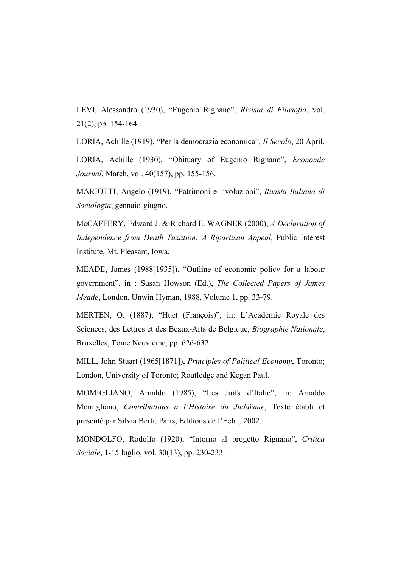LEVI, Alessandro (1930), "Eugenio Rignano", *Rivista di Filosofia*, vol. 21(2), pp. 154-164.

LORIA, Achille (1919), "Per la democrazia economica", *Il Secolo*, 20 April.

LORIA, Achille (1930), "Obituary of Eugenio Rignano", *Economic Journal*, March, vol. 40(157), pp. 155-156.

MARIOTTI, Angelo (1919), "Patrimoni e rivoluzioni", *Rivista Italiana di Sociologia*, gennaio-giugno.

McCAFFERY, Edward J. & Richard E. WAGNER (2000), *A Declaration of Independence from Death Taxation: A Bipartisan Appeal*, Public Interest Institute, Mt. Pleasant, Iowa.

MEADE, James (1988[1935]), "Outline of economic policy for a labour government", in : Susan Howson (Ed.), *The Collected Papers of James Meade*, London, Unwin Hyman, 1988, Volume 1, pp. 33-79.

MERTEN, O. (1887), "Huet (François)", in: L'Académie Royale des Sciences, des Lettres et des Beaux-Arts de Belgique, *Biographie Nationale*, Bruxelles, Tome Neuvième, pp. 626-632.

MILL, John Stuart (1965[1871]), *Principles of Political Economy*, Toronto; London, University of Toronto; Routledge and Kegan Paul.

MOMIGLIANO, Arnaldo (1985), "Les Juifs d'Italie", in: Arnaldo Momigliano, *Contributions à l'Histoire du Judaïsme*, Texte établi et présenté par Silvia Berti, Paris, Editions de l'Eclat, 2002.

MONDOLFO, Rodolfo (1920), "Intorno al progetto Rignano", *Critica Sociale*, 1-15 luglio, vol. 30(13), pp. 230-233.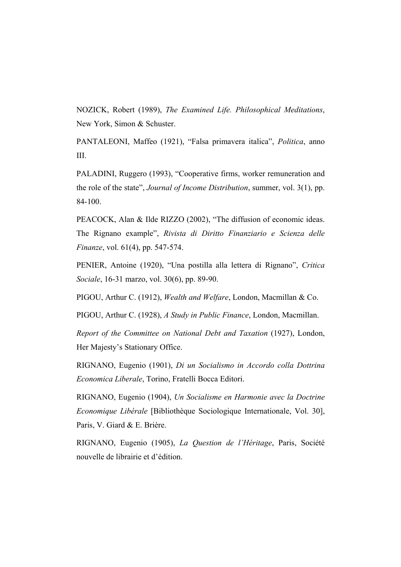NOZICK, Robert (1989), *The Examined Life. Philosophical Meditations*, New York, Simon & Schuster.

PANTALEONI, Maffeo (1921), "Falsa primavera italica", *Politica*, anno III.

PALADINI, Ruggero (1993), "Cooperative firms, worker remuneration and the role of the state", *Journal of Income Distribution*, summer, vol. 3(1), pp. 84-100.

PEACOCK, Alan & Ilde RIZZO (2002), "The diffusion of economic ideas. The Rignano example", *Rivista di Diritto Finanziario e Scienza delle Finanze*, vol. 61(4), pp. 547-574.

PENIER, Antoine (1920), "Una postilla alla lettera di Rignano", *Critica Sociale*, 16-31 marzo, vol. 30(6), pp. 89-90.

PIGOU, Arthur C. (1912), *Wealth and Welfare*, London, Macmillan & Co.

PIGOU, Arthur C. (1928), *A Study in Public Finance*, London, Macmillan.

*Report of the Committee on National Debt and Taxation* (1927), London, Her Majesty's Stationary Office.

RIGNANO, Eugenio (1901), *Di un Socialismo in Accordo colla Dottrina Economica Liberale*, Torino, Fratelli Bocca Editori.

RIGNANO, Eugenio (1904), *Un Socialisme en Harmonie avec la Doctrine Economique Libérale* [Bibliothèque Sociologique Internationale, Vol. 30], Paris, V. Giard & E. Brière.

RIGNANO, Eugenio (1905), *La Question de l'Héritage*, Paris, Société nouvelle de librairie et d'édition.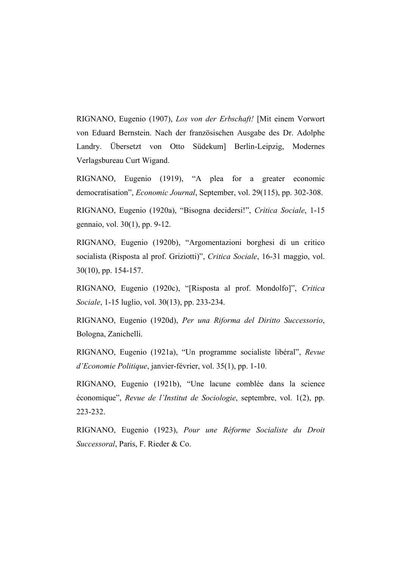RIGNANO, Eugenio (1907), *Los von der Erbschaft!* [Mit einem Vorwort von Eduard Bernstein. Nach der französischen Ausgabe des Dr. Adolphe Landry. Übersetzt von Otto Südekum] Berlin-Leipzig, Modernes Verlagsbureau Curt Wigand.

RIGNANO, Eugenio (1919), "A plea for a greater economic democratisation", *Economic Journal*, September, vol. 29(115), pp. 302-308.

RIGNANO, Eugenio (1920a), "Bisogna decidersi!", *Critica Sociale*, 1-15 gennaio, vol. 30(1), pp. 9-12.

RIGNANO, Eugenio (1920b), "Argomentazioni borghesi di un critico socialista (Risposta al prof. Griziotti)", *Critica Sociale*, 16-31 maggio, vol. 30(10), pp. 154-157.

RIGNANO, Eugenio (1920c), "[Risposta al prof. Mondolfo]", *Critica Sociale*, 1-15 luglio, vol. 30(13), pp. 233-234.

RIGNANO, Eugenio (1920d), *Per una Riforma del Diritto Successorio*, Bologna, Zanichelli.

RIGNANO, Eugenio (1921a), "Un programme socialiste libéral", *Revue d'Economie Politique*, janvier-février, vol. 35(1), pp. 1-10.

RIGNANO, Eugenio (1921b), "Une lacune comblée dans la science économique", *Revue de l'Institut de Sociologie*, septembre, vol. 1(2), pp. 223-232.

RIGNANO, Eugenio (1923), *Pour une Réforme Socialiste du Droit Successoral*, Paris, F. Rieder & Co.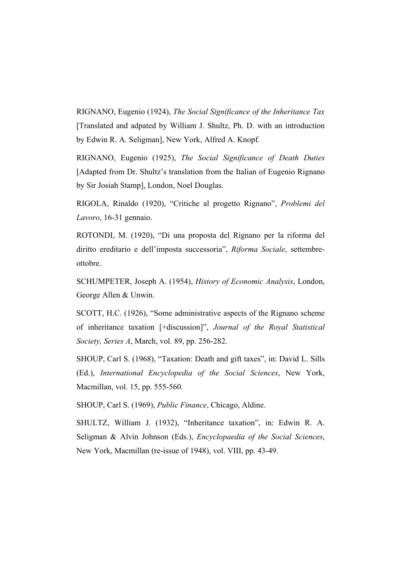RIGNANO, Eugenio (1924), *The Social Significance of the Inheritance Tax* [Translated and adpated by William J. Shultz, Ph. D. with an introduction by Edwin R. A. Seligman], New York, Alfred A. Knopf.

RIGNANO, Eugenio (1925), *The Social Significance of Death Duties* [Adapted from Dr. Shultz's translation from the Italian of Eugenio Rignano by Sir Josiah Stamp], London, Noel Douglas.

RIGOLA, Rinaldo (1920), "Critiche al progetto Rignano", *Problemi del Lavoro*, 16-31 gennaio.

ROTONDI, M. (1920), "Di una proposta del Rignano per la riforma del diritto ereditario e dell'imposta successoria", *Riforma Sociale*, settembreottobre.

SCHUMPETER, Joseph A. (1954), *History of Economic Analysis*, London, George Allen & Unwin.

SCOTT, H.C. (1926), "Some administrative aspects of the Rignano scheme of inheritance taxation [+discussion]", *Journal of the Royal Statistical Society, Series A*, March, vol. 89, pp. 256-282.

SHOUP, Carl S. (1968), "Taxation: Death and gift taxes", in: David L. Sills (Ed.), *International Encyclopedia of the Social Sciences*, New York, Macmillan, vol. 15, pp. 555-560.

SHOUP, Carl S. (1969), *Public Finance*, Chicago, Aldine.

SHULTZ, William J. (1932), "Inheritance taxation", in: Edwin R. A. Seligman & Alvin Johnson (Eds.), *Encyclopaedia of the Social Sciences*, New York, Macmillan (re-issue of 1948), vol. VIII, pp. 43-49.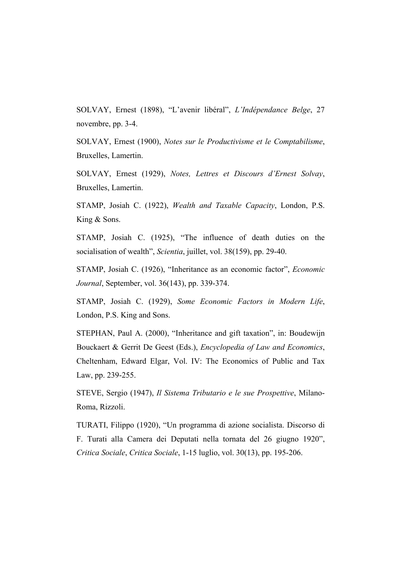SOLVAY, Ernest (1898), "L'avenir libéral", *L'Indépendance Belge*, 27 novembre, pp. 3-4.

SOLVAY, Ernest (1900), *Notes sur le Productivisme et le Comptabilisme*, Bruxelles, Lamertin.

SOLVAY, Ernest (1929), *Notes, Lettres et Discours d'Ernest Solvay*, Bruxelles, Lamertin.

STAMP, Josiah C. (1922), *Wealth and Taxable Capacity*, London, P.S. King & Sons.

STAMP, Josiah C. (1925), "The influence of death duties on the socialisation of wealth", *Scientia*, juillet, vol. 38(159), pp. 29-40.

STAMP, Josiah C. (1926), "Inheritance as an economic factor", *Economic Journal*, September, vol. 36(143), pp. 339-374.

STAMP, Josiah C. (1929), *Some Economic Factors in Modern Life*, London, P.S. King and Sons.

STEPHAN, Paul A. (2000), "Inheritance and gift taxation", in: Boudewijn Bouckaert & Gerrit De Geest (Eds.), *Encyclopedia of Law and Economics*, Cheltenham, Edward Elgar, Vol. IV: The Economics of Public and Tax Law, pp. 239-255.

STEVE, Sergio (1947), *Il Sistema Tributario e le sue Prospettive*, Milano-Roma, Rizzoli.

TURATI, Filippo (1920), "Un programma di azione socialista. Discorso di F. Turati alla Camera dei Deputati nella tornata del 26 giugno 1920", *Critica Sociale*, *Critica Sociale*, 1-15 luglio, vol. 30(13), pp. 195-206.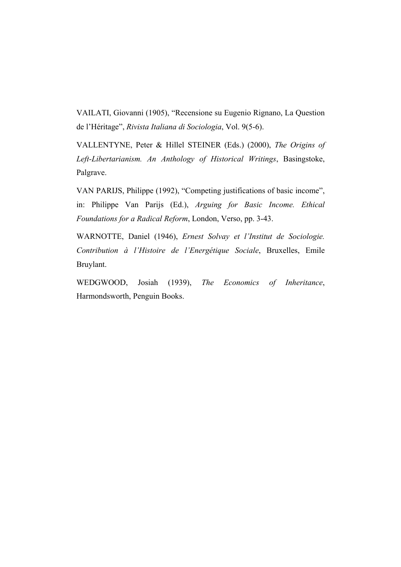VAILATI, Giovanni (1905), "Recensione su Eugenio Rignano, La Question de l'Héritage", *Rivista Italiana di Sociologia*, Vol. 9(5-6).

VALLENTYNE, Peter & Hillel STEINER (Eds.) (2000), *The Origins of Left-Libertarianism. An Anthology of Historical Writings*, Basingstoke, Palgrave.

VAN PARIJS, Philippe (1992), "Competing justifications of basic income", in: Philippe Van Parijs (Ed.), *Arguing for Basic Income. Ethical Foundations for a Radical Reform*, London, Verso, pp. 3-43.

WARNOTTE, Daniel (1946), *Ernest Solvay et l'Institut de Sociologie. Contribution à l'Histoire de l'Energétique Sociale*, Bruxelles, Emile Bruylant.

WEDGWOOD, Josiah (1939), *The Economics of Inheritance*, Harmondsworth, Penguin Books.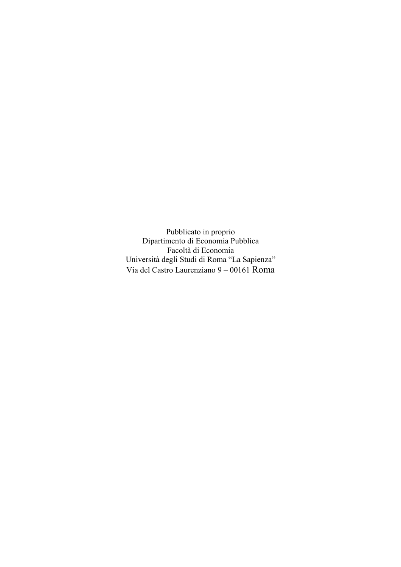Pubblicato in proprio Dipartimento di Economia Pubblica Facoltà di Economia Università degli Studi di Roma "La Sapienza" Via del Castro Laurenziano 9 – 00161 Roma